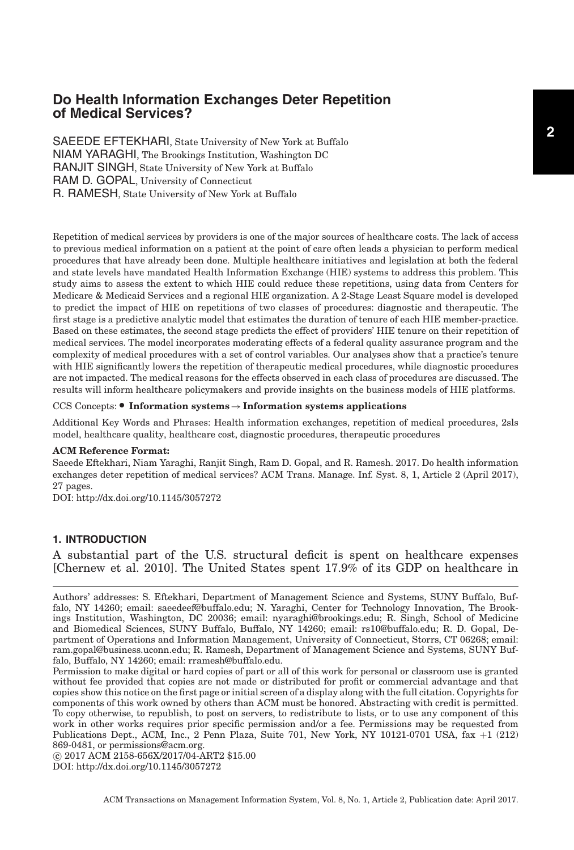# **Do Health Information Exchanges Deter Repetition of Medical Services?**

SAEEDE EFTEKHARI, State University of New York at Buffalo NIAM YARAGHI, The Brookings Institution, Washington DC RANJIT SINGH, State University of New York at Buffalo RAM D. GOPAL, University of Connecticut R. RAMESH, State University of New York at Buffalo

Repetition of medical services by providers is one of the major sources of healthcare costs. The lack of access to previous medical information on a patient at the point of care often leads a physician to perform medical procedures that have already been done. Multiple healthcare initiatives and legislation at both the federal and state levels have mandated Health Information Exchange (HIE) systems to address this problem. This study aims to assess the extent to which HIE could reduce these repetitions, using data from Centers for Medicare & Medicaid Services and a regional HIE organization. A 2-Stage Least Square model is developed to predict the impact of HIE on repetitions of two classes of procedures: diagnostic and therapeutic. The first stage is a predictive analytic model that estimates the duration of tenure of each HIE member-practice. Based on these estimates, the second stage predicts the effect of providers' HIE tenure on their repetition of medical services. The model incorporates moderating effects of a federal quality assurance program and the complexity of medical procedures with a set of control variables. Our analyses show that a practice's tenure with HIE significantly lowers the repetition of therapeutic medical procedures, while diagnostic procedures are not impacted. The medical reasons for the effects observed in each class of procedures are discussed. The results will inform healthcare policymakers and provide insights on the business models of HIE platforms.

# CCS Concepts: - **Information systems**→**Information systems applications**

Additional Key Words and Phrases: Health information exchanges, repetition of medical procedures, 2sls model, healthcare quality, healthcare cost, diagnostic procedures, therapeutic procedures

#### **ACM Reference Format:**

Saeede Eftekhari, Niam Yaraghi, Ranjit Singh, Ram D. Gopal, and R. Ramesh. 2017. Do health information exchanges deter repetition of medical services? ACM Trans. Manage. Inf. Syst. 8, 1, Article 2 (April 2017), 27 pages.

DOI:<http://dx.doi.org/10.1145/3057272>

### **1. INTRODUCTION**

A substantial part of the U.S. structural deficit is spent on healthcare expenses [\[Chernew et al. 2010\]](#page-23-0). The United States spent 17.9% of its GDP on healthcare in

-c 2017 ACM 2158-656X/2017/04-ART2 \$15.00 DOI:<http://dx.doi.org/10.1145/3057272>

Authors' addresses: S. Eftekhari, Department of Management Science and Systems, SUNY Buffalo, Buffalo, NY 14260; email: saeedeef@buffalo.edu; N. Yaraghi, Center for Technology Innovation, The Brookings Institution, Washington, DC 20036; email: nyaraghi@brookings.edu; R. Singh, School of Medicine and Biomedical Sciences, SUNY Buffalo, Buffalo, NY 14260; email: rs10@buffalo.edu; R. D. Gopal, Department of Operations and Information Management, University of Connecticut, Storrs, CT 06268; email: ram.gopal@business.uconn.edu; R. Ramesh, Department of Management Science and Systems, SUNY Buffalo, Buffalo, NY 14260; email: rramesh@buffalo.edu.

Permission to make digital or hard copies of part or all of this work for personal or classroom use is granted without fee provided that copies are not made or distributed for profit or commercial advantage and that copies show this notice on the first page or initial screen of a display along with the full citation. Copyrights for components of this work owned by others than ACM must be honored. Abstracting with credit is permitted. To copy otherwise, to republish, to post on servers, to redistribute to lists, or to use any component of this work in other works requires prior specific permission and/or a fee. Permissions may be requested from Publications Dept., ACM, Inc., 2 Penn Plaza, Suite 701, New York, NY 10121-0701 USA, fax +1 (212) 869-0481, or permissions@acm.org.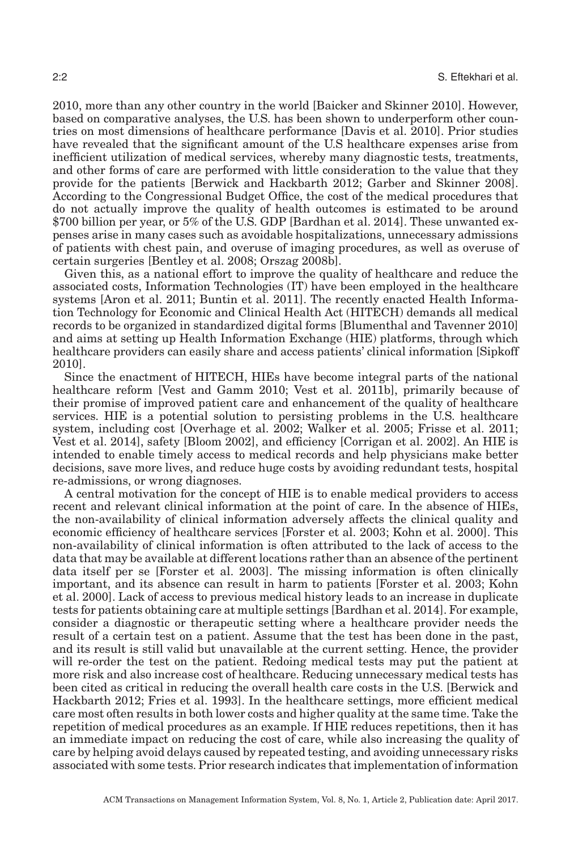2010, more than any other country in the world [\[Baicker and Skinner 2010\]](#page-22-0). However, based on comparative analyses, the U.S. has been shown to underperform other countries on most dimensions of healthcare performance [\[Davis et al. 2010\]](#page-23-1). Prior studies have revealed that the significant amount of the U.S healthcare expenses arise from inefficient utilization of medical services, whereby many diagnostic tests, treatments, and other forms of care are performed with little consideration to the value that they provide for the patients [\[Berwick and Hackbarth 2012;](#page-23-2) [Garber and Skinner 2008\]](#page-24-0). According to the Congressional Budget Office, the cost of the medical procedures that do not actually improve the quality of health outcomes is estimated to be around \$700 billion per year, or 5% of the U.S. GDP [\[Bardhan et al. 2014\]](#page-23-3). These unwanted expenses arise in many cases such as avoidable hospitalizations, unnecessary admissions of patients with chest pain, and overuse of imaging procedures, as well as overuse of certain surgeries [\[Bentley et al. 2008;](#page-23-4) [Orszag 2008b\]](#page-25-0).

Given this, as a national effort to improve the quality of healthcare and reduce the associated costs, Information Technologies (IT) have been employed in the healthcare systems [\[Aron et al. 2011;](#page-22-1) [Buntin et al. 2011\]](#page-23-5). The recently enacted Health Information Technology for Economic and Clinical Health Act (HITECH) demands all medical records to be organized in standardized digital forms [\[Blumenthal and Tavenner 2010\]](#page-23-6) and aims at setting up Health Information Exchange (HIE) platforms, through which healthcare providers can easily share and access patients' clinical information [\[Sipkoff](#page-25-1) [2010\]](#page-25-1).

Since the enactment of HITECH, HIEs have become integral parts of the national healthcare reform [Vest and Gamm 2010; Vest et al. 2011b], primarily because of their promise of improved patient care and enhancement of the quality of healthcare services. HIE is a potential solution to persisting problems in the U.S. healthcare system, including cost [Overhage et al. 2002; Walker et al. 2005; Frisse et al. 2011; Vest et al. 2014], safety [Bloom 2002], and efficiency [Corrigan et al. 2002]. An HIE is intended to enable timely access to medical records and help physicians make better decisions, save more lives, and reduce huge costs by avoiding redundant tests, hospital re-admissions, or wrong diagnoses.

A central motivation for the concept of HIE is to enable medical providers to access recent and relevant clinical information at the point of care. In the absence of HIEs, the non-availability of clinical information adversely affects the clinical quality and economic efficiency of healthcare services [\[Forster et al. 2003;](#page-23-7) [Kohn et al. 2000\]](#page-24-1). This non-availability of clinical information is often attributed to the lack of access to the data that may be available at different locations rather than an absence of the pertinent data itself per se [\[Forster et al. 2003\]](#page-23-7). The missing information is often clinically important, and its absence can result in harm to patients [\[Forster et al. 2003;](#page-23-7) [Kohn](#page-24-1) [et al. 2000\]](#page-24-1). Lack of access to previous medical history leads to an increase in duplicate tests for patients obtaining care at multiple settings [\[Bardhan et al. 2014\]](#page-23-3). For example, consider a diagnostic or therapeutic setting where a healthcare provider needs the result of a certain test on a patient. Assume that the test has been done in the past, and its result is still valid but unavailable at the current setting. Hence, the provider will re-order the test on the patient. Redoing medical tests may put the patient at more risk and also increase cost of healthcare. Reducing unnecessary medical tests has been cited as critical in reducing the overall health care costs in the U.S. [\[Berwick and](#page-23-2) [Hackbarth 2012;](#page-23-2) [Fries et al. 1993\]](#page-23-8). In the healthcare settings, more efficient medical care most often results in both lower costs and higher quality at the same time. Take the repetition of medical procedures as an example. If HIE reduces repetitions, then it has an immediate impact on reducing the cost of care, while also increasing the quality of care by helping avoid delays caused by repeated testing, and avoiding unnecessary risks associated with some tests. Prior research indicates that implementation of information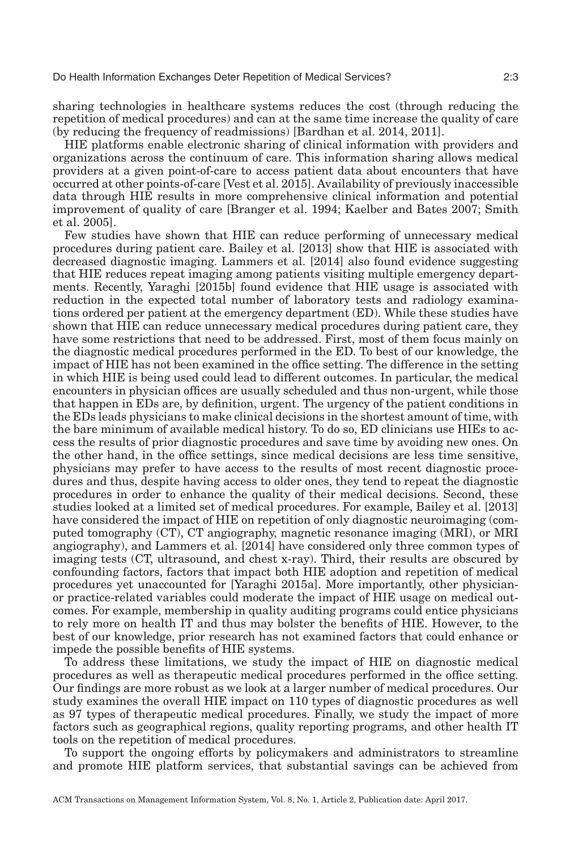sharing technologies in healthcare systems reduces the cost (through reducing the repetition of medical procedures) and can at the same time increase the quality of care (by reducing the frequency of readmissions) [\[Bardhan et al. 2014,](#page-23-3) [2011\]](#page-23-9).

HIE platforms enable electronic sharing of clinical information with providers and organizations across the continuum of care. This information sharing allows medical providers at a given point-of-care to access patient data about encounters that have occurred at other points-of-care [\[Vest et al. 2015\]](#page-25-2). Availability of previously inaccessible data through HIE results in more comprehensive clinical information and potential improvement of quality of care [\[Branger et al. 1994;](#page-23-10) [Kaelber and Bates 2007;](#page-24-2) [Smith](#page-25-3) [et al. 2005\]](#page-25-3).

Few studies have shown that HIE can reduce performing of unnecessary medical procedures during patient care. Bailey et al. [2013] show that HIE is associated with decreased diagnostic imaging. Lammers et al. [2014] also found evidence suggesting that HIE reduces repeat imaging among patients visiting multiple emergency departments. Recently, Yaraghi [2015b] found evidence that HIE usage is associated with reduction in the expected total number of laboratory tests and radiology examinations ordered per patient at the emergency department (ED). While these studies have shown that HIE can reduce unnecessary medical procedures during patient care, they have some restrictions that need to be addressed. First, most of them focus mainly on the diagnostic medical procedures performed in the ED. To best of our knowledge, the impact of HIE has not been examined in the office setting. The difference in the setting in which HIE is being used could lead to different outcomes. In particular, the medical encounters in physician offices are usually scheduled and thus non-urgent, while those that happen in EDs are, by definition, urgent. The urgency of the patient conditions in the EDs leads physicians to make clinical decisions in the shortest amount of time, with the bare minimum of available medical history. To do so, ED clinicians use HIEs to access the results of prior diagnostic procedures and save time by avoiding new ones. On the other hand, in the office settings, since medical decisions are less time sensitive, physicians may prefer to have access to the results of most recent diagnostic procedures and thus, despite having access to older ones, they tend to repeat the diagnostic procedures in order to enhance the quality of their medical decisions. Second, these studies looked at a limited set of medical procedures. For example, Bailey et al. [2013] have considered the impact of HIE on repetition of only diagnostic neuroimaging (computed tomography (CT), CT angiography, magnetic resonance imaging (MRI), or MRI angiography), and Lammers et al. [2014] have considered only three common types of imaging tests (CT, ultrasound, and chest x-ray). Third, their results are obscured by confounding factors, factors that impact both HIE adoption and repetition of medical procedures yet unaccounted for [\[Yaraghi 2015a\]](#page-26-0). More importantly, other physicianor practice-related variables could moderate the impact of HIE usage on medical outcomes. For example, membership in quality auditing programs could entice physicians to rely more on health IT and thus may bolster the benefits of HIE. However, to the best of our knowledge, prior research has not examined factors that could enhance or impede the possible benefits of HIE systems.

To address these limitations, we study the impact of HIE on diagnostic medical procedures as well as therapeutic medical procedures performed in the office setting. Our findings are more robust as we look at a larger number of medical procedures. Our study examines the overall HIE impact on 110 types of diagnostic procedures as well as 97 types of therapeutic medical procedures. Finally, we study the impact of more factors such as geographical regions, quality reporting programs, and other health IT tools on the repetition of medical procedures.

To support the ongoing efforts by policymakers and administrators to streamline and promote HIE platform services, that substantial savings can be achieved from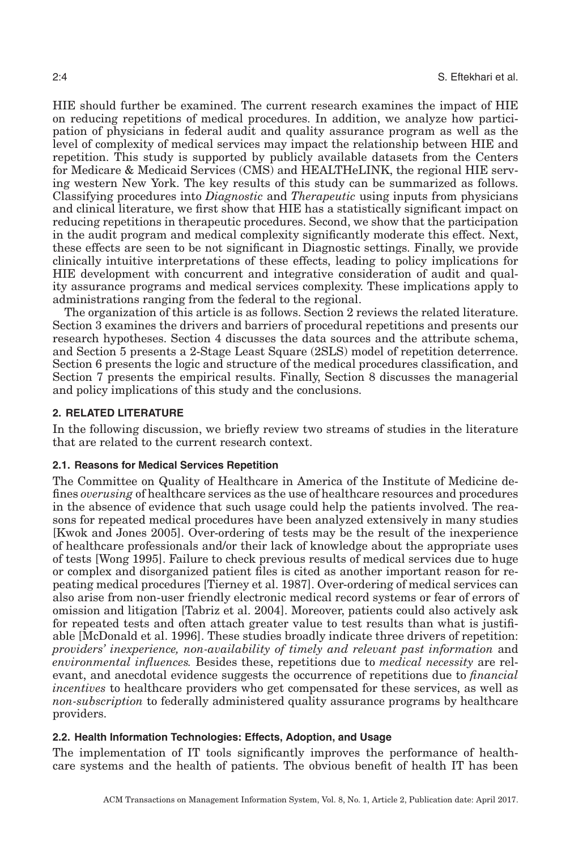HIE should further be examined. The current research examines the impact of HIE on reducing repetitions of medical procedures. In addition, we analyze how participation of physicians in federal audit and quality assurance program as well as the level of complexity of medical services may impact the relationship between HIE and repetition. This study is supported by publicly available datasets from the Centers for Medicare & Medicaid Services (CMS) and HEALTHeLINK, the regional HIE serving western New York. The key results of this study can be summarized as follows. Classifying procedures into *Diagnostic* and *Therapeutic* using inputs from physicians and clinical literature, we first show that HIE has a statistically significant impact on reducing repetitions in therapeutic procedures. Second, we show that the participation in the audit program and medical complexity significantly moderate this effect. Next, these effects are seen to be not significant in Diagnostic settings. Finally, we provide clinically intuitive interpretations of these effects, leading to policy implications for HIE development with concurrent and integrative consideration of audit and quality assurance programs and medical services complexity. These implications apply to administrations ranging from the federal to the regional.

The organization of this article is as follows. Section 2 reviews the related literature. Section 3 examines the drivers and barriers of procedural repetitions and presents our research hypotheses. Section 4 discusses the data sources and the attribute schema, and Section 5 presents a 2-Stage Least Square (2SLS) model of repetition deterrence. Section 6 presents the logic and structure of the medical procedures classification, and Section 7 presents the empirical results. Finally, Section 8 discusses the managerial and policy implications of this study and the conclusions.

### **2. RELATED LITERATURE**

In the following discussion, we briefly review two streams of studies in the literature that are related to the current research context.

### **2.1. Reasons for Medical Services Repetition**

The Committee on Quality of Healthcare in America of the Institute of Medicine defines *overusing* of healthcare services as the use of healthcare resources and procedures in the absence of evidence that such usage could help the patients involved. The reasons for repeated medical procedures have been analyzed extensively in many studies [\[Kwok and Jones 2005\]](#page-24-3). Over-ordering of tests may be the result of the inexperience of healthcare professionals and/or their lack of knowledge about the appropriate uses of tests [\[Wong 1995\]](#page-25-4). Failure to check previous results of medical services due to huge or complex and disorganized patient files is cited as another important reason for repeating medical procedures [\[Tierney et al. 1987\]](#page-25-5). Over-ordering of medical services can also arise from non-user friendly electronic medical record systems or fear of errors of omission and litigation [\[Tabriz et al. 2004\]](#page-25-6). Moreover, patients could also actively ask for repeated tests and often attach greater value to test results than what is justifiable [\[McDonald et al. 1996\]](#page-24-4). These studies broadly indicate three drivers of repetition: *providers' inexperience, non-availability of timely and relevant past information* and *environmental influences.* Besides these, repetitions due to *medical necessity* are relevant, and anecdotal evidence suggests the occurrence of repetitions due to *financial incentives* to healthcare providers who get compensated for these services, as well as *non-subscription* to federally administered quality assurance programs by healthcare providers.

### **2.2. Health Information Technologies: Effects, Adoption, and Usage**

The implementation of IT tools significantly improves the performance of healthcare systems and the health of patients. The obvious benefit of health IT has been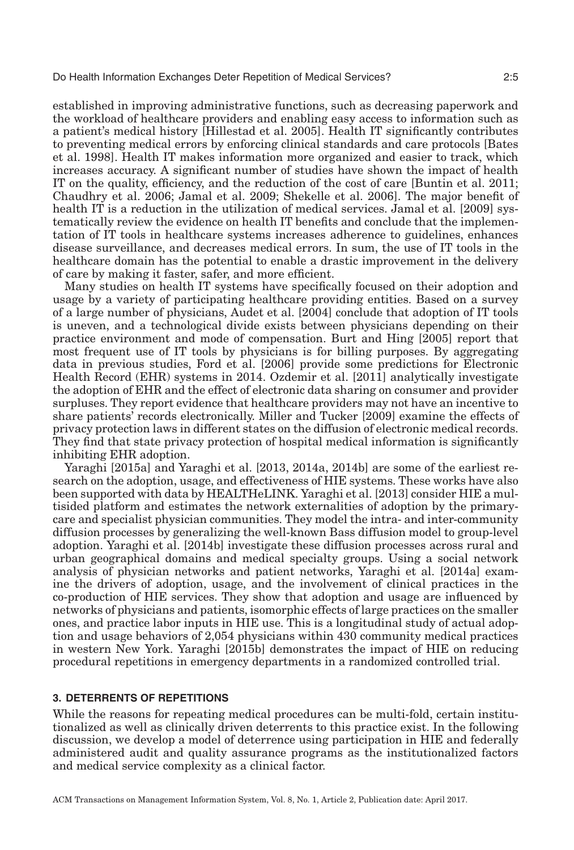established in improving administrative functions, such as decreasing paperwork and the workload of healthcare providers and enabling easy access to information such as a patient's medical history [\[Hillestad et al. 2005\]](#page-24-5). Health IT significantly contributes to preventing medical errors by enforcing clinical standards and care protocols [\[Bates](#page-23-11) [et al. 1998\]](#page-23-11). Health IT makes information more organized and easier to track, which increases accuracy. A significant number of studies have shown the impact of health IT on the quality, efficiency, and the reduction of the cost of care [\[Buntin et al. 2011;](#page-23-5) [Chaudhry et al. 2006;](#page-23-12) [Jamal et al. 2009;](#page-24-6) [Shekelle et al. 2006\]](#page-25-7). The major benefit of health IT is a reduction in the utilization of medical services. Jamal et al. [2009] systematically review the evidence on health IT benefits and conclude that the implementation of IT tools in healthcare systems increases adherence to guidelines, enhances disease surveillance, and decreases medical errors. In sum, the use of IT tools in the healthcare domain has the potential to enable a drastic improvement in the delivery of care by making it faster, safer, and more efficient.

Many studies on health IT systems have specifically focused on their adoption and usage by a variety of participating healthcare providing entities. Based on a survey of a large number of physicians, Audet et al. [2004] conclude that adoption of IT tools is uneven, and a technological divide exists between physicians depending on their practice environment and mode of compensation. Burt and Hing [2005] report that most frequent use of IT tools by physicians is for billing purposes. By aggregating data in previous studies, Ford et al. [2006] provide some predictions for Electronic Health Record (EHR) systems in 2014. Ozdemir et al. [2011] analytically investigate the adoption of EHR and the effect of electronic data sharing on consumer and provider surpluses. They report evidence that healthcare providers may not have an incentive to share patients' records electronically. Miller and Tucker [2009] examine the effects of privacy protection laws in different states on the diffusion of electronic medical records. They find that state privacy protection of hospital medical information is significantly inhibiting EHR adoption.

Yaraghi [2015a] and Yaraghi et al. [2013, 2014a, 2014b] are some of the earliest research on the adoption, usage, and effectiveness of HIE systems. These works have also been supported with data by HEALTHeLINK. Yaraghi et al. [2013] consider HIE a multisided platform and estimates the network externalities of adoption by the primarycare and specialist physician communities. They model the intra- and inter-community diffusion processes by generalizing the well-known Bass diffusion model to group-level adoption. Yaraghi et al. [2014b] investigate these diffusion processes across rural and urban geographical domains and medical specialty groups. Using a social network analysis of physician networks and patient networks, Yaraghi et al. [2014a] examine the drivers of adoption, usage, and the involvement of clinical practices in the co-production of HIE services. They show that adoption and usage are influenced by networks of physicians and patients, isomorphic effects of large practices on the smaller ones, and practice labor inputs in HIE use. This is a longitudinal study of actual adoption and usage behaviors of 2,054 physicians within 430 community medical practices in western New York. Yaraghi [2015b] demonstrates the impact of HIE on reducing procedural repetitions in emergency departments in a randomized controlled trial.

### **3. DETERRENTS OF REPETITIONS**

While the reasons for repeating medical procedures can be multi-fold, certain institutionalized as well as clinically driven deterrents to this practice exist. In the following discussion, we develop a model of deterrence using participation in HIE and federally administered audit and quality assurance programs as the institutionalized factors and medical service complexity as a clinical factor.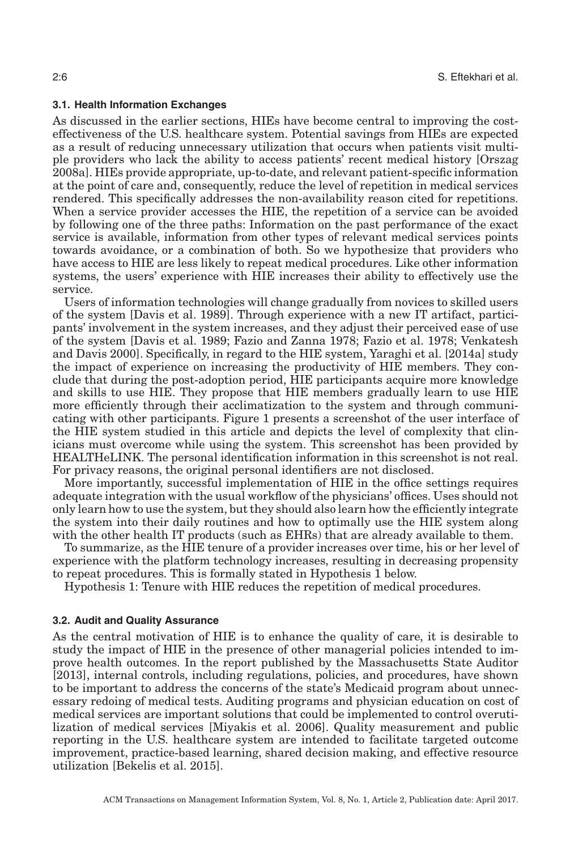### **3.1. Health Information Exchanges**

As discussed in the earlier sections, HIEs have become central to improving the costeffectiveness of the U.S. healthcare system. Potential savings from HIEs are expected as a result of reducing unnecessary utilization that occurs when patients visit multiple providers who lack the ability to access patients' recent medical history [\[Orszag](#page-25-8) [2008a\]](#page-25-8). HIEs provide appropriate, up-to-date, and relevant patient-specific information at the point of care and, consequently, reduce the level of repetition in medical services rendered. This specifically addresses the non-availability reason cited for repetitions. When a service provider accesses the HIE, the repetition of a service can be avoided by following one of the three paths: Information on the past performance of the exact service is available, information from other types of relevant medical services points towards avoidance, or a combination of both. So we hypothesize that providers who have access to HIE are less likely to repeat medical procedures. Like other information systems, the users' experience with HIE increases their ability to effectively use the service.

Users of information technologies will change gradually from novices to skilled users of the system [\[Davis et al. 1989\]](#page-23-13). Through experience with a new IT artifact, participants' involvement in the system increases, and they adjust their perceived ease of use of the system [\[Davis et al. 1989;](#page-23-13) [Fazio and Zanna 1978;](#page-23-14) [Fazio et al. 1978;](#page-23-15) [Venkatesh](#page-25-9) [and Davis 2000\]](#page-25-9). Specifically, in regard to the HIE system, Yaraghi et al. [2014a] study the impact of experience on increasing the productivity of HIE members. They conclude that during the post-adoption period, HIE participants acquire more knowledge and skills to use HIE. They propose that HIE members gradually learn to use HIE more efficiently through their acclimatization to the system and through communicating with other participants. Figure [1](#page-6-0) presents a screenshot of the user interface of the HIE system studied in this article and depicts the level of complexity that clinicians must overcome while using the system. This screenshot has been provided by HEALTHeLINK. The personal identification information in this screenshot is not real. For privacy reasons, the original personal identifiers are not disclosed.

More importantly, successful implementation of HIE in the office settings requires adequate integration with the usual workflow of the physicians' offices. Uses should not only learn how to use the system, but they should also learn how the efficiently integrate the system into their daily routines and how to optimally use the HIE system along with the other health IT products (such as EHRs) that are already available to them.

To summarize, as the HIE tenure of a provider increases over time, his or her level of experience with the platform technology increases, resulting in decreasing propensity to repeat procedures. This is formally stated in Hypothesis 1 below.

Hypothesis 1: Tenure with HIE reduces the repetition of medical procedures.

#### **3.2. Audit and Quality Assurance**

As the central motivation of HIE is to enhance the quality of care, it is desirable to study the impact of HIE in the presence of other managerial policies intended to improve health outcomes. In the report published by the Massachusetts State Auditor [2013], internal controls, including regulations, policies, and procedures, have shown to be important to address the concerns of the state's Medicaid program about unnecessary redoing of medical tests. Auditing programs and physician education on cost of medical services are important solutions that could be implemented to control overutilization of medical services [\[Miyakis et al. 2006\]](#page-24-7). Quality measurement and public reporting in the U.S. healthcare system are intended to facilitate targeted outcome improvement, practice-based learning, shared decision making, and effective resource utilization [\[Bekelis et al. 2015\]](#page-23-16).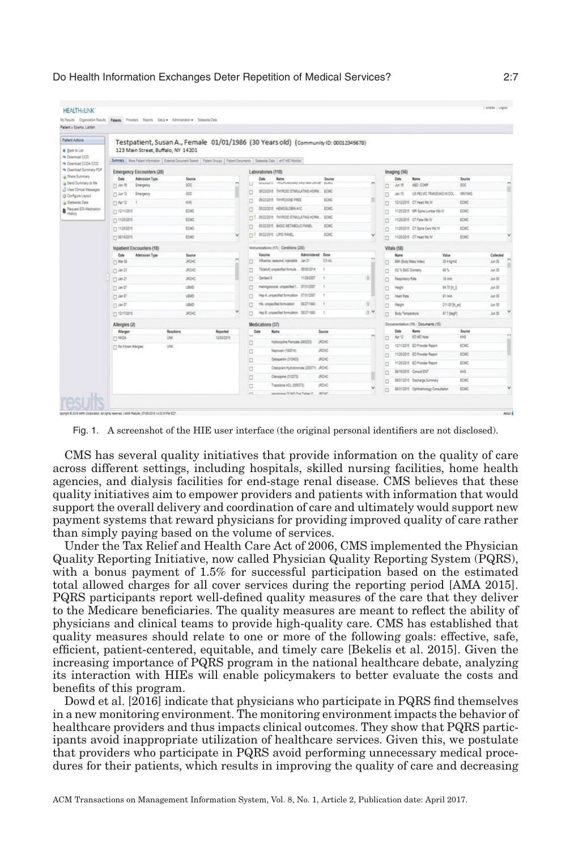<span id="page-6-0"></span>

| <b>HEALTH:LINK</b><br>Patient » Sparks, Latifah. |                                                                                                                                        | My Results Organization Results Proteins Providers Reports Setus - Administration - Statewide Data                        |          |                  |                                     |                                           |              |  |                                   |              |                  |                                       |                |                | I branes / Logout  |  |
|--------------------------------------------------|----------------------------------------------------------------------------------------------------------------------------------------|---------------------------------------------------------------------------------------------------------------------------|----------|------------------|-------------------------------------|-------------------------------------------|--------------|--|-----------------------------------|--------------|------------------|---------------------------------------|----------------|----------------|--------------------|--|
| <b>Patient Actions</b><br><b>+</b> Back to List  |                                                                                                                                        | Testpatient, Susan A., Female 01/01/1986 (30 Years old) (Community ID: 00012345678)<br>123 Main Street, Buffalo, NY 14201 |          |                  |                                     |                                           |              |  |                                   |              |                  |                                       |                |                |                    |  |
| A Download CCD                                   | Summary   More Patient Information   External Document Search   Patient Groups   Patient Documents   Statewide Data   aHT HIE Worklist |                                                                                                                           |          |                  |                                     |                                           |              |  |                                   |              |                  |                                       |                |                |                    |  |
| A Download CCDA CCD<br>A Download Summary PDF    |                                                                                                                                        |                                                                                                                           |          |                  |                                     |                                           |              |  |                                   |              |                  |                                       |                |                |                    |  |
| & Share Summary                                  | Emergency Encounters (28)                                                                                                              |                                                                                                                           |          |                  | Laboratories (118)                  |                                           |              |  |                                   | Imaging (56) |                  |                                       |                |                |                    |  |
| Send Summary to Me                               | <b>Admission Type</b><br>Date<br>Emergency<br>门动节                                                                                      | Source<br>\$00                                                                                                            | n        |                  | Date                                | Name<br>WEIGHT TRUMUNALING WATWATHE CUIV  | Source       |  | $\mathbf{r}$                      |              | Date<br>Jun 18   | Name<br>ABD. COMP                     |                | Source<br>50C  |                    |  |
| View Cirical Messages                            |                                                                                                                                        | SOC                                                                                                                       |          | о                |                                     | 05232015 THYROD STIMULATING HORM.         | ECMC         |  |                                   | α            |                  | US PELVIC TRANSVAS W COL.             |                | <b>VIAY/MG</b> |                    |  |
| G Configure Layout                               | $\Box$ an 12<br>Emergency                                                                                                              |                                                                                                                           |          | π                |                                     | 05/23/2015 THYROXINE FREE                 | ECMC         |  |                                   |              | 3n15             |                                       |                |                |                    |  |
| di Statewide Data                                | $\Box$ Apr 12                                                                                                                          | KHS.                                                                                                                      |          |                  |                                     | 05/22/2015 HEMOGLOBIN A1C                 | ECMO         |  |                                   |              |                  | 12/12/2015 CT Head Vio IV             |                | ECMC           |                    |  |
| <b>R</b> Request ESI Medication                  | $\square$ 12112215                                                                                                                     | ECMC                                                                                                                      |          | n                |                                     |                                           |              |  |                                   | п            |                  | 11/25/2015 MR Spine Lumbar Wo 1/      |                | ECMC           |                    |  |
|                                                  | $\square$ 11252015                                                                                                                     | ECMC                                                                                                                      |          | о۱               |                                     | 05/22/2015 THYROID STIMULATING HORM.      | ECMC         |  |                                   | α            |                  | 11/25/2015 CT Face Wo IV              |                | ECMC           |                    |  |
|                                                  | □ 11/25/2015                                                                                                                           | ECMC                                                                                                                      |          | n                |                                     | 05/22/2015 BASIC METABOLIC PANEL          | ECMC         |  |                                   | п            |                  | 11/25/2015 CT Spine Care Wo IV        |                | ECMC           |                    |  |
|                                                  | □ 08/18/2015                                                                                                                           | ECMC                                                                                                                      | v        |                  |                                     | 1 05222015 LPD FANEL                      | <b>ECMC</b>  |  | v                                 | n            |                  | 11/25/2015 CT Head Wo IV              |                | ECMC           |                    |  |
|                                                  | <b>Inpatient Encounters (18)</b>                                                                                                       |                                                                                                                           |          |                  | Immunizations (17) Conditions (200) |                                           |              |  |                                   | Vitals (58)  |                  |                                       |                |                |                    |  |
|                                                  | Date<br><b>Admission Type</b>                                                                                                          | Source                                                                                                                    |          |                  | Vaccine                             | Administered Dose                         |              |  |                                   |              | Name             |                                       | Value          |                | Collected          |  |
|                                                  | $\Box$ Mar 08                                                                                                                          | <b>JRDIC</b>                                                                                                              | m        | Ο                |                                     | Influenza, seasonal, injectable Jan 21    | $0.5$ mL     |  | $x +$                             | Π            |                  | BM (Body Mass Index)                  | 354 kg/m2      |                | Jun 30             |  |
|                                                  | 1.362                                                                                                                                  | <b>JOC</b>                                                                                                                |          | n                |                                     | Tájadult) unspecified formula 05/05/2014  | $\mathbb{R}$ |  |                                   |              |                  | 02 % BldC Oximetry                    | 92%            |                | Jun 30             |  |
|                                                  | $\square$ Jan 21                                                                                                                       | <b>SOC</b>                                                                                                                |          | O                | Gardasil <sup>9</sup>               | 11292007                                  | ٠            |  | Ð                                 |              | Raspiratory Rate |                                       | 12 <i>Inin</i> |                | Jun 30             |  |
|                                                  | $\Box$ and?                                                                                                                            | <b>UBMD</b>                                                                                                               |          | O                |                                     | meningococcal, unspecified f 07/01/2007   |              |  |                                   |              | Height           |                                       | 54.75 (n, i)   |                | Jum 30             |  |
|                                                  | 门神群                                                                                                                                    | <b>UBMO</b>                                                                                                               |          | n                |                                     | Hep A, unspecified formulation 07/31/2007 |              |  |                                   |              | Heart Rate       |                                       | 01 Inch        |                | Jun 30             |  |
|                                                  | 口神草                                                                                                                                    | <b>USMO</b>                                                                                                               |          | n                |                                     | Hib. unspecified formulation 08/27/1993   | $\mathbb{R}$ |  | $\left( 1\right)$                 | o            | <b>Yikight</b>   |                                       | 211.00 (b_av)  |                | Jun 30             |  |
|                                                  | $\square$ 1217/2015                                                                                                                    | SOC                                                                                                                       | v        | Ω                |                                     | Hep B. unspecified formulation 05/27/1993 | $\mathbf{1}$ |  | 3V                                | o            | Body Temperature |                                       | $97.7$ [degF]  |                | Jv <sub>n</sub> 30 |  |
|                                                  | Allergies (2)                                                                                                                          |                                                                                                                           |          | Medications (37) |                                     |                                           |              |  | Documentation (19) Documents (10) |              |                  |                                       |                |                |                    |  |
|                                                  | Allergen                                                                                                                               | Reactions                                                                                                                 | Reported |                  | Date                                | Name                                      | Source       |  |                                   |              | Date             | Name                                  |                | Source         |                    |  |
|                                                  | $\Box$ NOA                                                                                                                             | <b>UNK</b>                                                                                                                | 12032015 | w                |                                     |                                           |              |  | m                                 | o            | Apr 12           | ED MD Note                            |                | KHS            |                    |  |
|                                                  | No Known Allergies                                                                                                                     | <b>UM</b>                                                                                                                 |          | о                |                                     | Hydroxyzine Pamsate (995253)              | <b>SOC</b>   |  |                                   | α            |                  | 12/11/2015 ED Provider Report         |                | <b>ECMC</b>    |                    |  |
|                                                  |                                                                                                                                        |                                                                                                                           |          | о                |                                     | Naprovan (199214)                         | <b>JOC</b>   |  |                                   | α            |                  | 11252015 ED Provider Report           |                | ECMC           |                    |  |
|                                                  |                                                                                                                                        |                                                                                                                           |          | O                |                                     | Gabapentin (310433)                       | <b>JIDIC</b> |  |                                   | O            |                  | 11/25/2015 ED Provider Report         |                | ECMC           |                    |  |
|                                                  |                                                                                                                                        |                                                                                                                           |          | o                |                                     | Citalopram Hydrobromide (200371) JRCHC    |              |  |                                   | o            |                  | 09/15/2015 Consult ENT                |                | KHS.           |                    |  |
|                                                  |                                                                                                                                        |                                                                                                                           |          | o                |                                     | Olanzapine (312078)                       | <b>JRDIC</b> |  |                                   |              |                  | 09/01/2015 Discharge Summary          |                | ECMC           |                    |  |
|                                                  |                                                                                                                                        |                                                                                                                           |          | о                |                                     | Trazodona HCL (058373)                    | <b>SOC</b>   |  |                                   | n            |                  |                                       |                | ECMC           |                    |  |
|                                                  |                                                                                                                                        |                                                                                                                           |          | n                |                                     | Ismninina 35, MS Onl Tahlat (?)           | sev-         |  |                                   | α            |                  | 08/31/2015 Cohthalmology Consultation |                |                |                    |  |
|                                                  |                                                                                                                                        |                                                                                                                           |          |                  |                                     |                                           |              |  |                                   |              |                  |                                       |                |                |                    |  |

Fig. 1. A screenshot of the HIE user interface (the original personal identifiers are not disclosed).

CMS has several quality initiatives that provide information on the quality of care across different settings, including hospitals, skilled nursing facilities, home health agencies, and dialysis facilities for end-stage renal disease. CMS believes that these quality initiatives aim to empower providers and patients with information that would support the overall delivery and coordination of care and ultimately would support new payment systems that reward physicians for providing improved quality of care rather than simply paying based on the volume of services.

Under the Tax Relief and Health Care Act of 2006, CMS implemented the Physician Quality Reporting Initiative, now called Physician Quality Reporting System (PQRS), with a bonus payment of 1.5% for successful participation based on the estimated total allowed charges for all cover services during the reporting period [\[AMA 2015\]](#page-22-2). PQRS participants report well-defined quality measures of the care that they deliver to the Medicare beneficiaries. The quality measures are meant to reflect the ability of physicians and clinical teams to provide high-quality care. CMS has established that quality measures should relate to one or more of the following goals: effective, safe, efficient, patient-centered, equitable, and timely care [\[Bekelis et al. 2015\]](#page-23-16). Given the increasing importance of PQRS program in the national healthcare debate, analyzing its interaction with HIEs will enable policymakers to better evaluate the costs and benefits of this program.

Dowd et al. [2016] indicate that physicians who participate in PQRS find themselves in a new monitoring environment. The monitoring environment impacts the behavior of healthcare providers and thus impacts clinical outcomes. They show that PQRS participants avoid inappropriate utilization of healthcare services. Given this, we postulate that providers who participate in PQRS avoid performing unnecessary medical procedures for their patients, which results in improving the quality of care and decreasing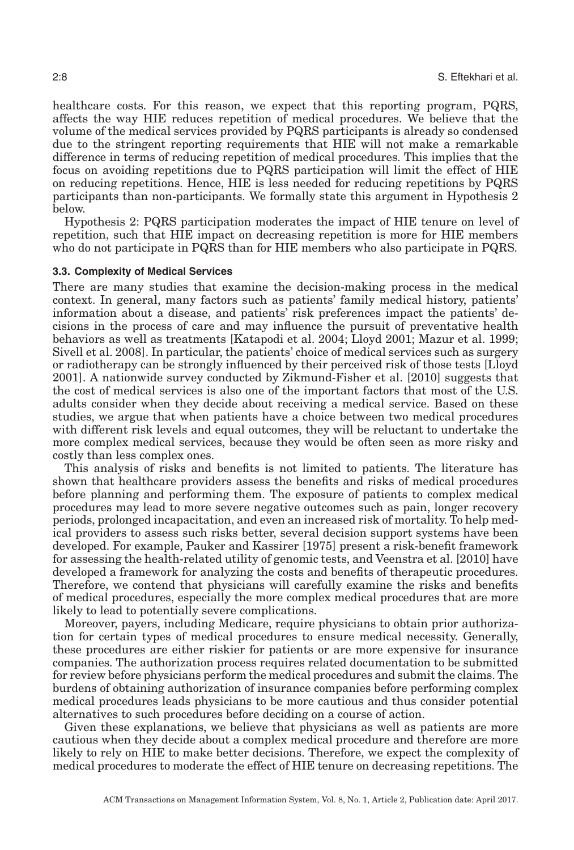healthcare costs. For this reason, we expect that this reporting program, PQRS, affects the way HIE reduces repetition of medical procedures. We believe that the volume of the medical services provided by PQRS participants is already so condensed due to the stringent reporting requirements that HIE will not make a remarkable difference in terms of reducing repetition of medical procedures. This implies that the focus on avoiding repetitions due to PQRS participation will limit the effect of HIE on reducing repetitions. Hence, HIE is less needed for reducing repetitions by PQRS participants than non-participants. We formally state this argument in Hypothesis 2 below.

Hypothesis 2: PQRS participation moderates the impact of HIE tenure on level of repetition, such that HIE impact on decreasing repetition is more for HIE members who do not participate in PQRS than for HIE members who also participate in PQRS.

### **3.3. Complexity of Medical Services**

There are many studies that examine the decision-making process in the medical context. In general, many factors such as patients' family medical history, patients' information about a disease, and patients' risk preferences impact the patients' decisions in the process of care and may influence the pursuit of preventative health behaviors as well as treatments [\[Katapodi et al. 2004;](#page-24-8) [Lloyd 2001;](#page-24-9) [Mazur et al. 1999;](#page-24-10) [Sivell et al. 2008\]](#page-25-10). In particular, the patients' choice of medical services such as surgery or radiotherapy can be strongly influenced by their perceived risk of those tests [\[Lloyd](#page-24-9) [2001\]](#page-24-9). A nationwide survey conducted by Zikmund-Fisher et al. [2010] suggests that the cost of medical services is also one of the important factors that most of the U.S. adults consider when they decide about receiving a medical service. Based on these studies, we argue that when patients have a choice between two medical procedures with different risk levels and equal outcomes, they will be reluctant to undertake the more complex medical services, because they would be often seen as more risky and costly than less complex ones.

This analysis of risks and benefits is not limited to patients. The literature has shown that healthcare providers assess the benefits and risks of medical procedures before planning and performing them. The exposure of patients to complex medical procedures may lead to more severe negative outcomes such as pain, longer recovery periods, prolonged incapacitation, and even an increased risk of mortality. To help medical providers to assess such risks better, several decision support systems have been developed. For example, Pauker and Kassirer [1975] present a risk-benefit framework for assessing the health-related utility of genomic tests, and Veenstra et al. [2010] have developed a framework for analyzing the costs and benefits of therapeutic procedures. Therefore, we contend that physicians will carefully examine the risks and benefits of medical procedures, especially the more complex medical procedures that are more likely to lead to potentially severe complications.

Moreover, payers, including Medicare, require physicians to obtain prior authorization for certain types of medical procedures to ensure medical necessity. Generally, these procedures are either riskier for patients or are more expensive for insurance companies. The authorization process requires related documentation to be submitted for review before physicians perform the medical procedures and submit the claims. The burdens of obtaining authorization of insurance companies before performing complex medical procedures leads physicians to be more cautious and thus consider potential alternatives to such procedures before deciding on a course of action.

Given these explanations, we believe that physicians as well as patients are more cautious when they decide about a complex medical procedure and therefore are more likely to rely on HIE to make better decisions. Therefore, we expect the complexity of medical procedures to moderate the effect of HIE tenure on decreasing repetitions. The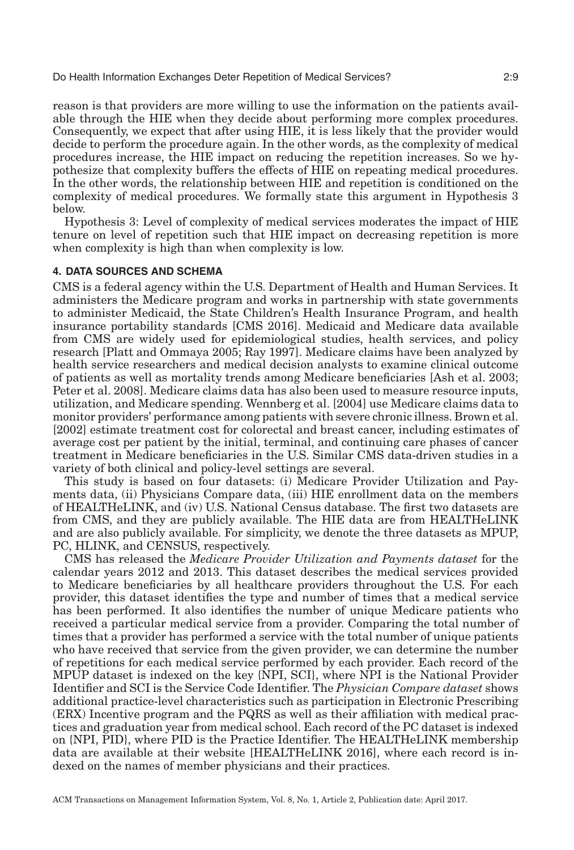Do Health Information Exchanges Deter Repetition of Medical Services? 2:9

reason is that providers are more willing to use the information on the patients available through the HIE when they decide about performing more complex procedures. Consequently, we expect that after using HIE, it is less likely that the provider would decide to perform the procedure again. In the other words, as the complexity of medical procedures increase, the HIE impact on reducing the repetition increases. So we hypothesize that complexity buffers the effects of HIE on repeating medical procedures. In the other words, the relationship between HIE and repetition is conditioned on the complexity of medical procedures. We formally state this argument in Hypothesis 3 below.

Hypothesis 3: Level of complexity of medical services moderates the impact of HIE tenure on level of repetition such that HIE impact on decreasing repetition is more when complexity is high than when complexity is low.

### **4. DATA SOURCES AND SCHEMA**

CMS is a federal agency within the U.S. Department of Health and Human Services. It administers the Medicare program and works in partnership with state governments to administer Medicaid, the State Children's Health Insurance Program, and health insurance portability standards [CMS 2016]. Medicaid and Medicare data available from CMS are widely used for epidemiological studies, health services, and policy research [\[Platt and Ommaya 2005;](#page-25-11) [Ray 1997\]](#page-25-12). Medicare claims have been analyzed by health service researchers and medical decision analysts to examine clinical outcome of patients as well as mortality trends among Medicare beneficiaries [\[Ash et al. 2003;](#page-22-3) [Peter et al. 2008\]](#page-25-13). Medicare claims data has also been used to measure resource inputs, utilization, and Medicare spending. Wennberg et al. [2004] use Medicare claims data to monitor providers' performance among patients with severe chronic illness. Brown et al. [2002] estimate treatment cost for colorectal and breast cancer, including estimates of average cost per patient by the initial, terminal, and continuing care phases of cancer treatment in Medicare beneficiaries in the U.S. Similar CMS data-driven studies in a variety of both clinical and policy-level settings are several.

This study is based on four datasets: (i) Medicare Provider Utilization and Payments data, (ii) Physicians Compare data, (iii) HIE enrollment data on the members of HEALTHeLINK, and (iv) U.S. National Census database. The first two datasets are from CMS, and they are publicly available. The HIE data are from HEALTHeLINK and are also publicly available. For simplicity, we denote the three datasets as MPUP, PC, HLINK, and CENSUS, respectively.

CMS has released the *Medicare Provider Utilization and Payments dataset* for the calendar years 2012 and 2013. This dataset describes the medical services provided to Medicare beneficiaries by all healthcare providers throughout the U.S. For each provider, this dataset identifies the type and number of times that a medical service has been performed. It also identifies the number of unique Medicare patients who received a particular medical service from a provider. Comparing the total number of times that a provider has performed a service with the total number of unique patients who have received that service from the given provider, we can determine the number of repetitions for each medical service performed by each provider. Each record of the MPUP dataset is indexed on the key {NPI, SCI}, where NPI is the National Provider Identifier and SCI is the Service Code Identifier. The *Physician Compare dataset* shows additional practice-level characteristics such as participation in Electronic Prescribing (ERX) Incentive program and the PQRS as well as their affiliation with medical practices and graduation year from medical school. Each record of the PC dataset is indexed on {NPI, PID}, where PID is the Practice Identifier. The HEALTHeLINK membership data are available at their website [\[HEALTHeLINK 2016\]](#page-24-11), where each record is indexed on the names of member physicians and their practices.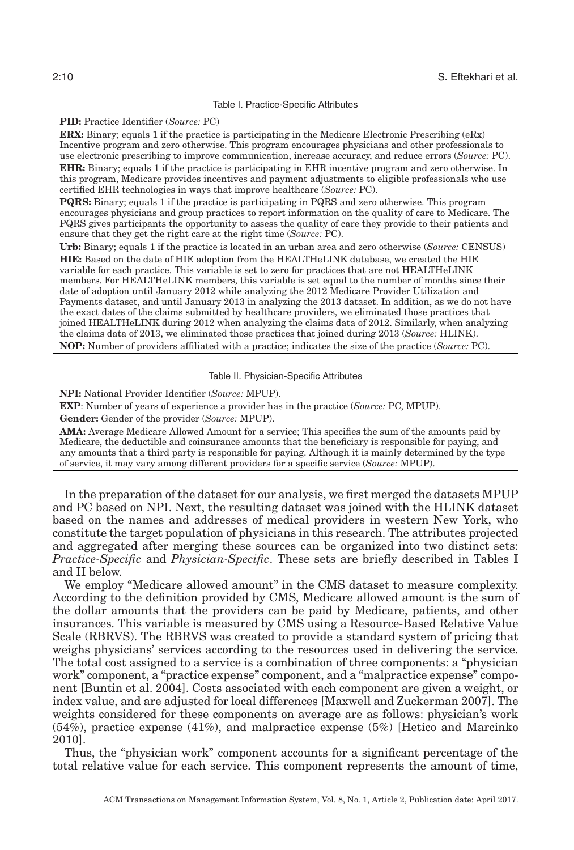#### Table I. Practice-Specific Attributes

<span id="page-9-0"></span>**PID:** Practice Identifier (*Source:* PC)

**ERX:** Binary; equals 1 if the practice is participating in the Medicare Electronic Prescribing (eRx) Incentive program and zero otherwise. This program encourages physicians and other professionals to use electronic prescribing to improve communication, increase accuracy, and reduce errors (*Source:* PC). **EHR:** Binary; equals 1 if the practice is participating in EHR incentive program and zero otherwise. In this program, Medicare provides incentives and payment adjustments to eligible professionals who use certified EHR technologies in ways that improve healthcare (*Source:* PC).

**PQRS:** Binary; equals 1 if the practice is participating in PQRS and zero otherwise. This program encourages physicians and group practices to report information on the quality of care to Medicare. The PQRS gives participants the opportunity to assess the quality of care they provide to their patients and ensure that they get the right care at the right time (*Source:* PC).

**Urb:** Binary; equals 1 if the practice is located in an urban area and zero otherwise (*Source:* CENSUS) **HIE:** Based on the date of HIE adoption from the HEALTHeLINK database, we created the HIE variable for each practice. This variable is set to zero for practices that are not HEALTHeLINK members. For HEALTHeLINK members, this variable is set equal to the number of months since their date of adoption until January 2012 while analyzing the 2012 Medicare Provider Utilization and Payments dataset, and until January 2013 in analyzing the 2013 dataset. In addition, as we do not have the exact dates of the claims submitted by healthcare providers, we eliminated those practices that joined HEALTHeLINK during 2012 when analyzing the claims data of 2012. Similarly, when analyzing the claims data of 2013, we eliminated those practices that joined during 2013 (*Source:* HLINK).

**NOP:** Number of providers affiliated with a practice; indicates the size of the practice (*Source:* PC).

#### Table II. Physician-Specific Attributes

<span id="page-9-1"></span>**NPI:** National Provider Identifier (*Source:* MPUP).

**EXP**: Number of years of experience a provider has in the practice (*Source:* PC, MPUP).

**Gender:** Gender of the provider (*Source:* MPUP).

**AMA:** Average Medicare Allowed Amount for a service; This specifies the sum of the amounts paid by Medicare, the deductible and coinsurance amounts that the beneficiary is responsible for paying, and any amounts that a third party is responsible for paying. Although it is mainly determined by the type of service, it may vary among different providers for a specific service (*Source:* MPUP).

In the preparation of the dataset for our analysis, we first merged the datasets MPUP and PC based on NPI. Next, the resulting dataset was joined with the HLINK dataset based on the names and addresses of medical providers in western New York, who constitute the target population of physicians in this research. The attributes projected and aggregated after merging these sources can be organized into two distinct sets: *Practice-Specific* and *Physician-Specific*. These sets are briefly described in Tables [I](#page-9-0) and [II](#page-9-1) below.

We employ "Medicare allowed amount" in the CMS dataset to measure complexity. According to the definition provided by CMS, Medicare allowed amount is the sum of the dollar amounts that the providers can be paid by Medicare, patients, and other insurances. This variable is measured by CMS using a Resource-Based Relative Value Scale (RBRVS). The RBRVS was created to provide a standard system of pricing that weighs physicians' services according to the resources used in delivering the service. The total cost assigned to a service is a combination of three components: a "physician work" component, a "practice expense" component, and a "malpractice expense" component [\[Buntin et al. 2004\]](#page-23-17). Costs associated with each component are given a weight, or index value, and are adjusted for local differences [\[Maxwell and Zuckerman 2007\]](#page-24-12). The weights considered for these components on average are as follows: physician's work (54%), practice expense (41%), and malpractice expense (5%) [\[Hetico and Marcinko](#page-24-13) [2010\]](#page-24-13).

Thus, the "physician work" component accounts for a significant percentage of the total relative value for each service. This component represents the amount of time,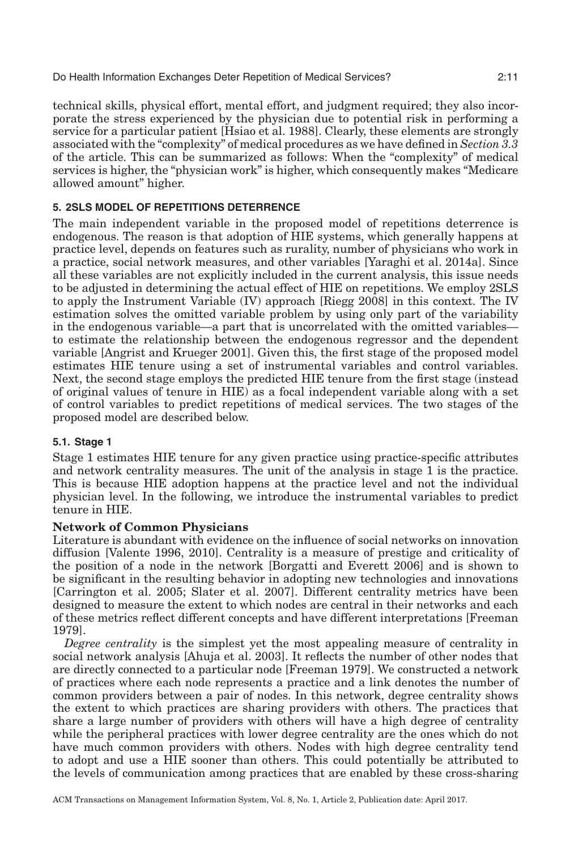technical skills, physical effort, mental effort, and judgment required; they also incorporate the stress experienced by the physician due to potential risk in performing a service for a particular patient [\[Hsiao et al. 1988\]](#page-24-14). Clearly, these elements are strongly associated with the "complexity" of medical procedures as we have defined in *Section 3.3* of the article. This can be summarized as follows: When the "complexity" of medical services is higher, the "physician work" is higher, which consequently makes "Medicare allowed amount" higher.

# **5. 2SLS MODEL OF REPETITIONS DETERRENCE**

The main independent variable in the proposed model of repetitions deterrence is endogenous. The reason is that adoption of HIE systems, which generally happens at practice level, depends on features such as rurality, number of physicians who work in a practice, social network measures, and other variables [Yaraghi et al. 2014a]. Since all these variables are not explicitly included in the current analysis, this issue needs to be adjusted in determining the actual effect of HIE on repetitions. We employ 2SLS to apply the Instrument Variable (IV) approach [\[Riegg 2008\]](#page-25-14) in this context. The IV estimation solves the omitted variable problem by using only part of the variability in the endogenous variable—a part that is uncorrelated with the omitted variables to estimate the relationship between the endogenous regressor and the dependent variable [\[Angrist and Krueger 2001\]](#page-22-4). Given this, the first stage of the proposed model estimates HIE tenure using a set of instrumental variables and control variables. Next, the second stage employs the predicted HIE tenure from the first stage (instead of original values of tenure in HIE) as a focal independent variable along with a set of control variables to predict repetitions of medical services. The two stages of the proposed model are described below.

# **5.1. Stage 1**

Stage 1 estimates HIE tenure for any given practice using practice-specific attributes and network centrality measures. The unit of the analysis in stage 1 is the practice. This is because HIE adoption happens at the practice level and not the individual physician level. In the following, we introduce the instrumental variables to predict tenure in HIE.

# **Network of Common Physicians**

Literature is abundant with evidence on the influence of social networks on innovation diffusion [Valente 1996, 2010]. Centrality is a measure of prestige and criticality of the position of a node in the network [Borgatti and Everett 2006] and is shown to be significant in the resulting behavior in adopting new technologies and innovations [Carrington et al. 2005; Slater et al. 2007]. Different centrality metrics have been designed to measure the extent to which nodes are central in their networks and each of these metrics reflect different concepts and have different interpretations [Freeman 1979].

*Degree centrality* is the simplest yet the most appealing measure of centrality in social network analysis [Ahuja et al. 2003]. It reflects the number of other nodes that are directly connected to a particular node [Freeman 1979]. We constructed a network of practices where each node represents a practice and a link denotes the number of common providers between a pair of nodes. In this network, degree centrality shows the extent to which practices are sharing providers with others. The practices that share a large number of providers with others will have a high degree of centrality while the peripheral practices with lower degree centrality are the ones which do not have much common providers with others. Nodes with high degree centrality tend to adopt and use a HIE sooner than others. This could potentially be attributed to the levels of communication among practices that are enabled by these cross-sharing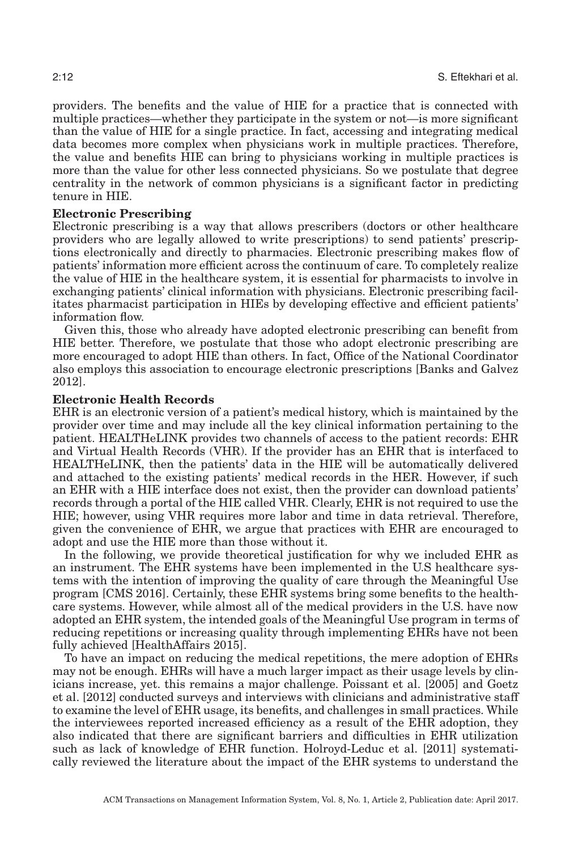providers. The benefits and the value of HIE for a practice that is connected with multiple practices—whether they participate in the system or not—is more significant than the value of HIE for a single practice. In fact, accessing and integrating medical data becomes more complex when physicians work in multiple practices. Therefore, the value and benefits HIE can bring to physicians working in multiple practices is more than the value for other less connected physicians. So we postulate that degree centrality in the network of common physicians is a significant factor in predicting tenure in HIE.

# **Electronic Prescribing**

Electronic prescribing is a way that allows prescribers (doctors or other healthcare providers who are legally allowed to write prescriptions) to send patients' prescriptions electronically and directly to pharmacies. Electronic prescribing makes flow of patients' information more efficient across the continuum of care. To completely realize the value of HIE in the healthcare system, it is essential for pharmacists to involve in exchanging patients' clinical information with physicians. Electronic prescribing facilitates pharmacist participation in HIEs by developing effective and efficient patients' information flow.

Given this, those who already have adopted electronic prescribing can benefit from HIE better. Therefore, we postulate that those who adopt electronic prescribing are more encouraged to adopt HIE than others. In fact, Office of the National Coordinator also employs this association to encourage electronic prescriptions [\[Banks and Galvez](#page-22-5) [2012\]](#page-22-5).

### **Electronic Health Records**

EHR is an electronic version of a patient's medical history, which is maintained by the provider over time and may include all the key clinical information pertaining to the patient. HEALTHeLINK provides two channels of access to the patient records: EHR and Virtual Health Records (VHR). If the provider has an EHR that is interfaced to HEALTHeLINK, then the patients' data in the HIE will be automatically delivered and attached to the existing patients' medical records in the HER. However, if such an EHR with a HIE interface does not exist, then the provider can download patients' records through a portal of the HIE called VHR. Clearly, EHR is not required to use the HIE; however, using VHR requires more labor and time in data retrieval. Therefore, given the convenience of EHR, we argue that practices with EHR are encouraged to adopt and use the HIE more than those without it.

In the following, we provide theoretical justification for why we included EHR as an instrument. The EHR systems have been implemented in the U.S healthcare systems with the intention of improving the quality of care through the Meaningful Use program [CMS 2016]. Certainly, these EHR systems bring some benefits to the healthcare systems. However, while almost all of the medical providers in the U.S. have now adopted an EHR system, the intended goals of the Meaningful Use program in terms of reducing repetitions or increasing quality through implementing EHRs have not been fully achieved [\[HealthAffairs 2015\]](#page-24-15).

To have an impact on reducing the medical repetitions, the mere adoption of EHRs may not be enough. EHRs will have a much larger impact as their usage levels by clinicians increase, yet. this remains a major challenge. Poissant et al. [2005] and Goetz et al. [2012] conducted surveys and interviews with clinicians and administrative staff to examine the level of EHR usage, its benefits, and challenges in small practices. While the interviewees reported increased efficiency as a result of the EHR adoption, they also indicated that there are significant barriers and difficulties in EHR utilization such as lack of knowledge of EHR function. Holroyd-Leduc et al. [2011] systematically reviewed the literature about the impact of the EHR systems to understand the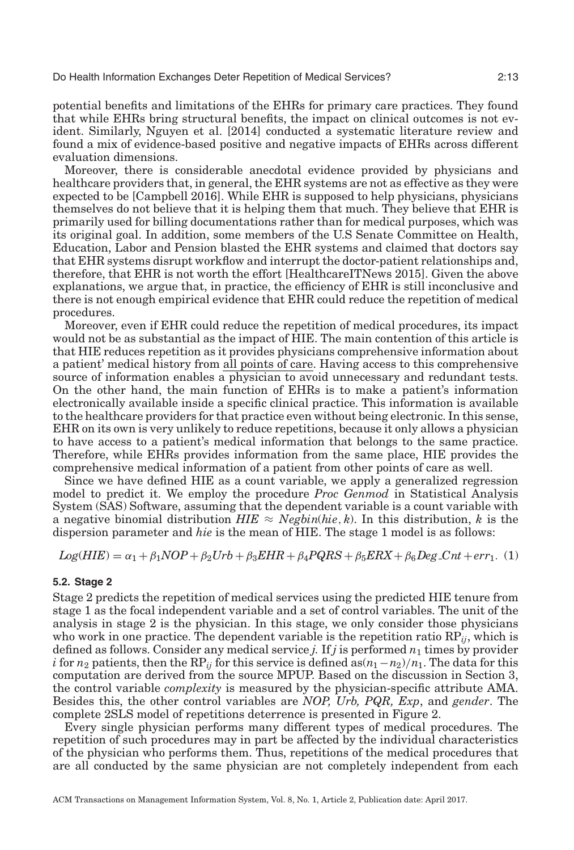potential benefits and limitations of the EHRs for primary care practices. They found that while EHRs bring structural benefits, the impact on clinical outcomes is not evident. Similarly, Nguyen et al. [2014] conducted a systematic literature review and found a mix of evidence-based positive and negative impacts of EHRs across different evaluation dimensions.

Moreover, there is considerable anecdotal evidence provided by physicians and healthcare providers that, in general, the EHR systems are not as effective as they were expected to be [\[Campbell 2016\]](#page-23-18). While EHR is supposed to help physicians, physicians themselves do not believe that it is helping them that much. They believe that EHR is primarily used for billing documentations rather than for medical purposes, which was its original goal. In addition, some members of the U.S Senate Committee on Health, Education, Labor and Pension blasted the EHR systems and claimed that doctors say that EHR systems disrupt workflow and interrupt the doctor-patient relationships and, therefore, that EHR is not worth the effort [\[HealthcareITNews 2015\]](#page-24-16). Given the above explanations, we argue that, in practice, the efficiency of EHR is still inconclusive and there is not enough empirical evidence that EHR could reduce the repetition of medical procedures.

Moreover, even if EHR could reduce the repetition of medical procedures, its impact would not be as substantial as the impact of HIE. The main contention of this article is that HIE reduces repetition as it provides physicians comprehensive information about a patient' medical history from all points of care. Having access to this comprehensive source of information enables a physician to avoid unnecessary and redundant tests. On the other hand, the main function of EHRs is to make a patient's information electronically available inside a specific clinical practice. This information is available to the healthcare providers for that practice even without being electronic. In this sense, EHR on its own is very unlikely to reduce repetitions, because it only allows a physician to have access to a patient's medical information that belongs to the same practice. Therefore, while EHRs provides information from the same place, HIE provides the comprehensive medical information of a patient from other points of care as well.

Since we have defined HIE as a count variable, we apply a generalized regression model to predict it. We employ the procedure *Proc Genmod* in Statistical Analysis System (SAS) Software, assuming that the dependent variable is a count variable with a negative binomial distribution  $HIE \approx Negbin(hie, k)$ . In this distribution, *k* is the dispersion parameter and *hie* is the mean of HIE. The stage 1 model is as follows:

$$
Log(HIE) = \alpha_1 + \beta_1 NOP + \beta_2 Urb + \beta_3 EHR + \beta_4 PQRS + \beta_5 ERX + \beta_6 Deg_Cnt + err_1.
$$
 (1)

### **5.2. Stage 2**

Stage 2 predicts the repetition of medical services using the predicted HIE tenure from stage 1 as the focal independent variable and a set of control variables. The unit of the analysis in stage 2 is the physician. In this stage, we only consider those physicians who work in one practice. The dependent variable is the repetition ratio  $RP_{ii}$ , which is defined as follows. Consider any medical service *j*. If *j* is performed  $n_1$  times by provider *i* for  $n_2$  patients, then the RP<sub>*ij*</sub> for this service is defined as( $n_1 - n_2$ )/ $n_1$ . The data for this computation are derived from the source MPUP. Based on the discussion in Section 3, the control variable *complexity* is measured by the physician-specific attribute AMA. Besides this, the other control variables are *NOP, Urb, PQR, Exp*, and *gender*. The complete 2SLS model of repetitions deterrence is presented in Figure [2.](#page-13-0)

Every single physician performs many different types of medical procedures. The repetition of such procedures may in part be affected by the individual characteristics of the physician who performs them. Thus, repetitions of the medical procedures that are all conducted by the same physician are not completely independent from each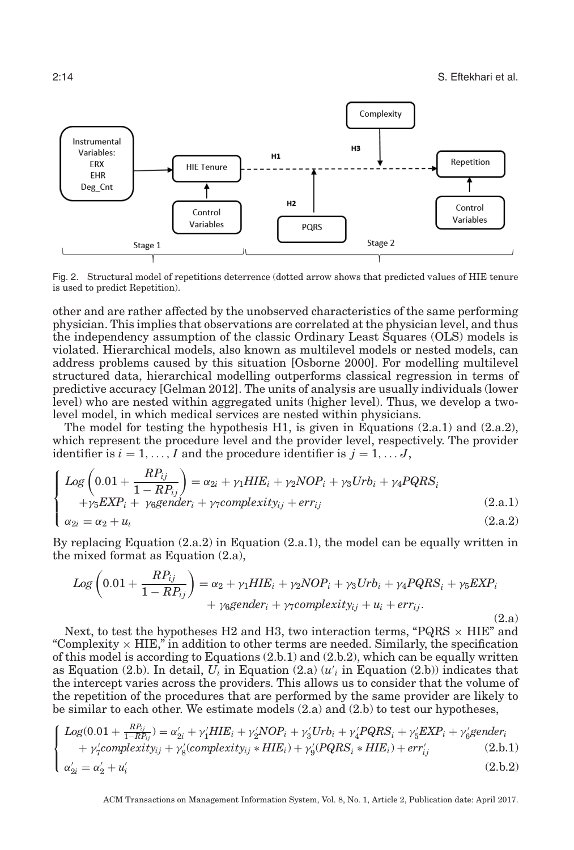<span id="page-13-0"></span>

Fig. 2. Structural model of repetitions deterrence (dotted arrow shows that predicted values of HIE tenure is used to predict Repetition).

other and are rather affected by the unobserved characteristics of the same performing physician. This implies that observations are correlated at the physician level, and thus the independency assumption of the classic Ordinary Least Squares (OLS) models is violated. Hierarchical models, also known as multilevel models or nested models, can address problems caused by this situation [\[Osborne 2000\]](#page-25-15). For modelling multilevel structured data, hierarchical modelling outperforms classical regression in terms of predictive accuracy [\[Gelman 2012\]](#page-24-17). The units of analysis are usually individuals (lower level) who are nested within aggregated units (higher level). Thus, we develop a twolevel model, in which medical services are nested within physicians.

The model for testing the hypothesis H1, is given in Equations (2.a.1) and (2.a.2), which represent the procedure level and the provider level, respectively. The provider identifier is  $i = 1, \ldots, I$  and the procedure identifier is  $j = 1, \ldots, J$ ,

$$
\begin{cases}\nLog \left(0.01 + \frac{RP_{ij}}{1 - RP_{ij}}\right) = \alpha_{2i} + \gamma_1 HIE_i + \gamma_2 NOP_i + \gamma_3 Urb_i + \gamma_4 PQRS_i \\
+\gamma_5 EXP_i + \gamma_6 gender_i + \gamma_7 complexity_{ij} + err_{ij} \\
\alpha_{2i} = \alpha_2 + u_i\n\end{cases}
$$
\n(2.a.1)

By replacing Equation (2.a.2) in Equation (2.a.1), the model can be equally written in the mixed format as Equation (2.a),

$$
Log\left(0.01 + \frac{RP_{ij}}{1 - RP_{ij}}\right) = \alpha_2 + \gamma_1 HIE_i + \gamma_2 NOP_i + \gamma_3 Urb_i + \gamma_4 PQRS_i + \gamma_5 EXP_i
$$
  
+  $\gamma_6 gender_i + \gamma_7 complexity_{ij} + u_i + err_{ij}.$  (2.a)

Next, to test the hypotheses H2 and H3, two interaction terms, "PQRS  $\times$  HIE" and "Complexity  $\times$  HIE," in addition to other terms are needed. Similarly, the specification of this model is according to Equations  $(2.b.1)$  and  $(2.b.2)$ , which can be equally written as Equation (2.b). In detail,  $U_i$  in Equation (2.a)  $(u'_i$  in Equation (2.b)) indicates that the intercept varies across the providers. This allows us to consider that the volume of the repetition of the procedures that are performed by the same provider are likely to be similar to each other. We estimate models (2.a) and (2.b) to test our hypotheses,

$$
\begin{cases}\nLog(0.01 + \frac{RP_{ij}}{1 - RP_{ij}}) = \alpha'_{2i} + \gamma'_1 HIE_i + \gamma'_2 NOP_i + \gamma'_3 Urb_i + \gamma'_4 PQRS_i + \gamma'_5 EXP_i + \gamma'_6 gender_i \\
+ \gamma'_7 complexity_{ij} + \gamma'_8 (complexity_{ij} * HIE_i) + \gamma'_9 (PQRS_i * HIE_i) + err'_{ij} \n\end{cases} (2.b.1)
$$
\n
$$
\alpha'_{2i} = \alpha'_{2} + u'_{i}
$$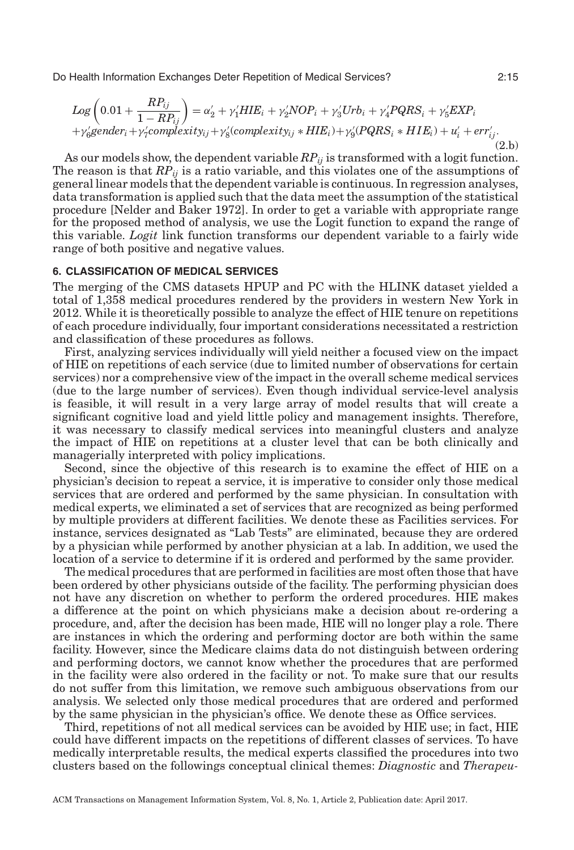Do Health Information Exchanges Deter Repetition of Medical Services? 2:15

$$
Log\left(0.01 + \frac{RP_{ij}}{1 - RP_{ij}}\right) = \alpha'_2 + \gamma'_1 HIE_i + \gamma'_2 NOP_i + \gamma'_3 Urb_i + \gamma'_4 PQRS_i + \gamma'_5 EXP_i
$$
  
+  $\gamma'_6 gender_i + \gamma'_7 complexity_{ij} + \gamma'_8 (complexity_{ij} * HIE_i) + \gamma'_9 (PQRS_i * HIE_i) + u'_i + err'_{ij}.$   
(2.b)

As our models show, the dependent variable  $RP_{ij}$  is transformed with a logit function. The reason is that  $RP_{ij}$  is a ratio variable, and this violates one of the assumptions of general linear models that the dependent variable is continuous. In regression analyses, data transformation is applied such that the data meet the assumption of the statistical procedure [\[Nelder and Baker 1972\]](#page-24-18). In order to get a variable with appropriate range for the proposed method of analysis, we use the Logit function to expand the range of this variable. *Logit* link function transforms our dependent variable to a fairly wide range of both positive and negative values.

### **6. CLASSIFICATION OF MEDICAL SERVICES**

The merging of the CMS datasets HPUP and PC with the HLINK dataset yielded a total of 1,358 medical procedures rendered by the providers in western New York in 2012. While it is theoretically possible to analyze the effect of HIE tenure on repetitions of each procedure individually, four important considerations necessitated a restriction and classification of these procedures as follows.

First, analyzing services individually will yield neither a focused view on the impact of HIE on repetitions of each service (due to limited number of observations for certain services) nor a comprehensive view of the impact in the overall scheme medical services (due to the large number of services). Even though individual service-level analysis is feasible, it will result in a very large array of model results that will create a significant cognitive load and yield little policy and management insights. Therefore, it was necessary to classify medical services into meaningful clusters and analyze the impact of HIE on repetitions at a cluster level that can be both clinically and managerially interpreted with policy implications.

Second, since the objective of this research is to examine the effect of HIE on a physician's decision to repeat a service, it is imperative to consider only those medical services that are ordered and performed by the same physician. In consultation with medical experts, we eliminated a set of services that are recognized as being performed by multiple providers at different facilities. We denote these as Facilities services. For instance, services designated as "Lab Tests" are eliminated, because they are ordered by a physician while performed by another physician at a lab. In addition, we used the location of a service to determine if it is ordered and performed by the same provider.

The medical procedures that are performed in facilities are most often those that have been ordered by other physicians outside of the facility. The performing physician does not have any discretion on whether to perform the ordered procedures. HIE makes a difference at the point on which physicians make a decision about re-ordering a procedure, and, after the decision has been made, HIE will no longer play a role. There are instances in which the ordering and performing doctor are both within the same facility. However, since the Medicare claims data do not distinguish between ordering and performing doctors, we cannot know whether the procedures that are performed in the facility were also ordered in the facility or not. To make sure that our results do not suffer from this limitation, we remove such ambiguous observations from our analysis. We selected only those medical procedures that are ordered and performed by the same physician in the physician's office. We denote these as Office services.

Third, repetitions of not all medical services can be avoided by HIE use; in fact, HIE could have different impacts on the repetitions of different classes of services. To have medically interpretable results, the medical experts classified the procedures into two clusters based on the followings conceptual clinical themes: *Diagnostic* and *Therapeu-*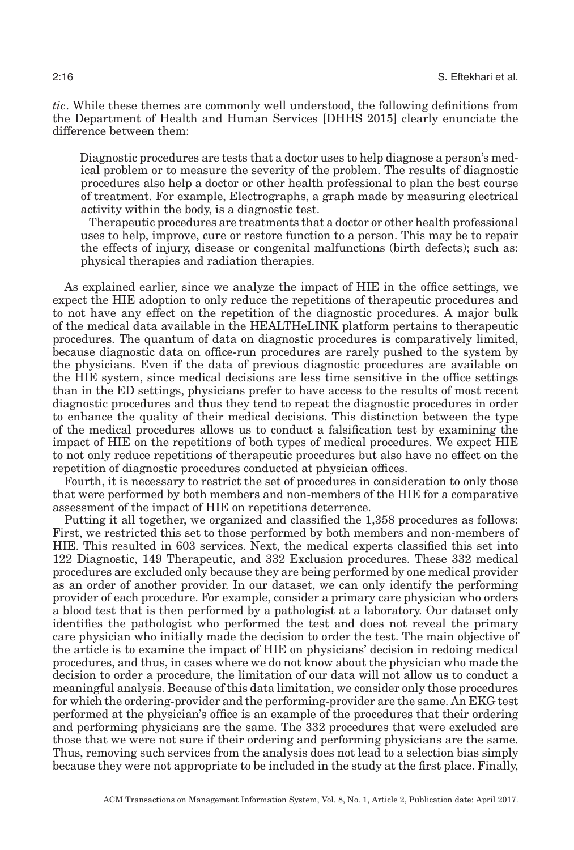*tic*. While these themes are commonly well understood, the following definitions from the Department of Health and Human Services [DHHS 2015] clearly enunciate the difference between them:

Diagnostic procedures are tests that a doctor uses to help diagnose a person's medical problem or to measure the severity of the problem. The results of diagnostic procedures also help a doctor or other health professional to plan the best course of treatment. For example, Electrographs, a graph made by measuring electrical activity within the body, is a diagnostic test.

Therapeutic procedures are treatments that a doctor or other health professional uses to help, improve, cure or restore function to a person. This may be to repair the effects of injury, disease or congenital malfunctions (birth defects); such as: physical therapies and radiation therapies.

As explained earlier, since we analyze the impact of HIE in the office settings, we expect the HIE adoption to only reduce the repetitions of therapeutic procedures and to not have any effect on the repetition of the diagnostic procedures. A major bulk of the medical data available in the HEALTHeLINK platform pertains to therapeutic procedures. The quantum of data on diagnostic procedures is comparatively limited, because diagnostic data on office-run procedures are rarely pushed to the system by the physicians. Even if the data of previous diagnostic procedures are available on the HIE system, since medical decisions are less time sensitive in the office settings than in the ED settings, physicians prefer to have access to the results of most recent diagnostic procedures and thus they tend to repeat the diagnostic procedures in order to enhance the quality of their medical decisions. This distinction between the type of the medical procedures allows us to conduct a falsification test by examining the impact of HIE on the repetitions of both types of medical procedures. We expect HIE to not only reduce repetitions of therapeutic procedures but also have no effect on the repetition of diagnostic procedures conducted at physician offices.

Fourth, it is necessary to restrict the set of procedures in consideration to only those that were performed by both members and non-members of the HIE for a comparative assessment of the impact of HIE on repetitions deterrence.

Putting it all together, we organized and classified the 1,358 procedures as follows: First, we restricted this set to those performed by both members and non-members of HIE. This resulted in 603 services. Next, the medical experts classified this set into 122 Diagnostic, 149 Therapeutic, and 332 Exclusion procedures. These 332 medical procedures are excluded only because they are being performed by one medical provider as an order of another provider. In our dataset, we can only identify the performing provider of each procedure. For example, consider a primary care physician who orders a blood test that is then performed by a pathologist at a laboratory. Our dataset only identifies the pathologist who performed the test and does not reveal the primary care physician who initially made the decision to order the test. The main objective of the article is to examine the impact of HIE on physicians' decision in redoing medical procedures, and thus, in cases where we do not know about the physician who made the decision to order a procedure, the limitation of our data will not allow us to conduct a meaningful analysis. Because of this data limitation, we consider only those procedures for which the ordering-provider and the performing-provider are the same. An EKG test performed at the physician's office is an example of the procedures that their ordering and performing physicians are the same. The 332 procedures that were excluded are those that we were not sure if their ordering and performing physicians are the same. Thus, removing such services from the analysis does not lead to a selection bias simply because they were not appropriate to be included in the study at the first place. Finally,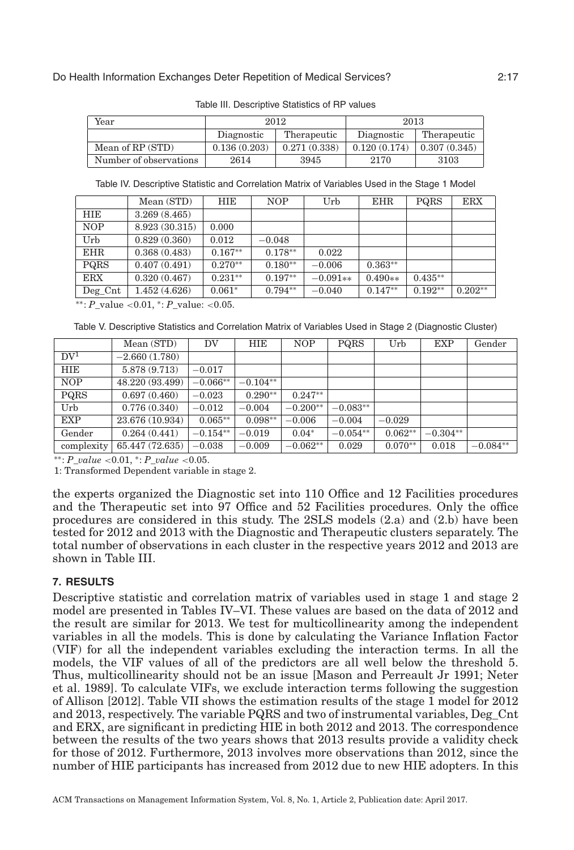<span id="page-16-0"></span>

| Year                   |              | 2012         | 2013         |              |  |  |
|------------------------|--------------|--------------|--------------|--------------|--|--|
|                        | Diagnostic   | Therapeutic  | Diagnostic   | Therapeutic  |  |  |
| Mean of RP (STD)       | 0.136(0.203) | 0.271(0.338) | 0.120(0.174) | 0.307(0.345) |  |  |
| Number of observations | 2614         | 3945         | 2170         | 3103         |  |  |

Table III. Descriptive Statistics of RP values

Table IV. Descriptive Statistic and Correlation Matrix of Variables Used in the Stage 1 Model

<span id="page-16-1"></span>

|            | Mean (STD)     | <b>HIE</b> | <b>NOP</b> | Urb        | EHR       | PQRS      | <b>ERX</b> |
|------------|----------------|------------|------------|------------|-----------|-----------|------------|
| HIE        | 3.269(8.465)   |            |            |            |           |           |            |
| <b>NOP</b> | 8.923 (30.315) | 0.000      |            |            |           |           |            |
| Urb        | 0.829(0.360)   | 0.012      | $-0.048$   |            |           |           |            |
| EHR        | 0.368(0.483)   | $0.167**$  | $0.178**$  | 0.022      |           |           |            |
| PQRS       | 0.407(0.491)   | $0.270**$  | $0.180**$  | $-0.006$   | $0.363**$ |           |            |
| ERX        | 0.320(0.467)   | $0.231**$  | $0.197**$  | $-0.091**$ | $0.490**$ | $0.435**$ |            |
| $Deg_Cnt$  | 1.452 (4.626)  | $0.061*$   | $0.794**$  | $-0.040$   | $0.147**$ | $0.192**$ | $0.202**$  |

∗∗: *P*\_value <0.01, ∗: *P*\_value: <0.05.

Table V. Descriptive Statistics and Correlation Matrix of Variables Used in Stage 2 (Diagnostic Cluster)

|                 | Mean (STD)      | DV         | HIE        | <b>NOP</b> | PQRS       | Urb       | <b>EXP</b> | Gender     |
|-----------------|-----------------|------------|------------|------------|------------|-----------|------------|------------|
| DV <sup>1</sup> | $-2.660(1.780)$ |            |            |            |            |           |            |            |
| <b>HIE</b>      | 5.878 (9.713)   | $-0.017$   |            |            |            |           |            |            |
| <b>NOP</b>      | 48.220 (93.499) | $-0.066**$ | $-0.104**$ |            |            |           |            |            |
| PQRS            | 0.697(0.460)    | $-0.023$   | $0.290**$  | $0.247**$  |            |           |            |            |
| Urb             | 0.776(0.340)    | $-0.012$   | $-0.004$   | $-0.200**$ | $-0.083**$ |           |            |            |
| <b>EXP</b>      | 23.676 (10.934) | $0.065**$  | $0.098**$  | $-0.006$   | $-0.004$   | $-0.029$  |            |            |
| Gender          | 0.264(0.441)    | $-0.154**$ | $-0.019$   | $0.04*$    | $-0.054**$ | $0.062**$ | $-0.304**$ |            |
| complexity      | 65.447 (72.635) | $-0.038$   | $-0.009$   | $-0.062**$ | 0.029      | $0.070**$ | 0.018      | $-0.084**$ |

∗∗: *P\_value* <0.01, ∗: *P\_value* <0.05.

1: Transformed Dependent variable in stage 2.

the experts organized the Diagnostic set into 110 Office and 12 Facilities procedures and the Therapeutic set into 97 Office and 52 Facilities procedures. Only the office procedures are considered in this study. The 2SLS models (2.a) and (2.b) have been tested for 2012 and 2013 with the Diagnostic and Therapeutic clusters separately. The total number of observations in each cluster in the respective years 2012 and 2013 are shown in Table [III.](#page-16-0)

## **7. RESULTS**

Descriptive statistic and correlation matrix of variables used in stage 1 and stage 2 model are presented in [Tables IV–](#page-16-1)[VI.](#page-17-0) These values are based on the data of 2012 and the result are similar for 2013. We test for multicollinearity among the independent variables in all the models. This is done by calculating the Variance Inflation Factor (VIF) for all the independent variables excluding the interaction terms. In all the models, the VIF values of all of the predictors are all well below the threshold 5. Thus, multicollinearity should not be an issue [\[Mason and Perreault Jr 1991;](#page-24-19) [Neter](#page-24-20) [et al. 1989\]](#page-24-20). To calculate VIFs, we exclude interaction terms following the suggestion of Allison [2012]. Table [VII](#page-17-1) shows the estimation results of the stage 1 model for 2012 and 2013, respectively. The variable PQRS and two of instrumental variables, Deg\_Cnt and ERX, are significant in predicting HIE in both 2012 and 2013. The correspondence between the results of the two years shows that 2013 results provide a validity check for those of 2012. Furthermore, 2013 involves more observations than 2012, since the number of HIE participants has increased from 2012 due to new HIE adopters. In this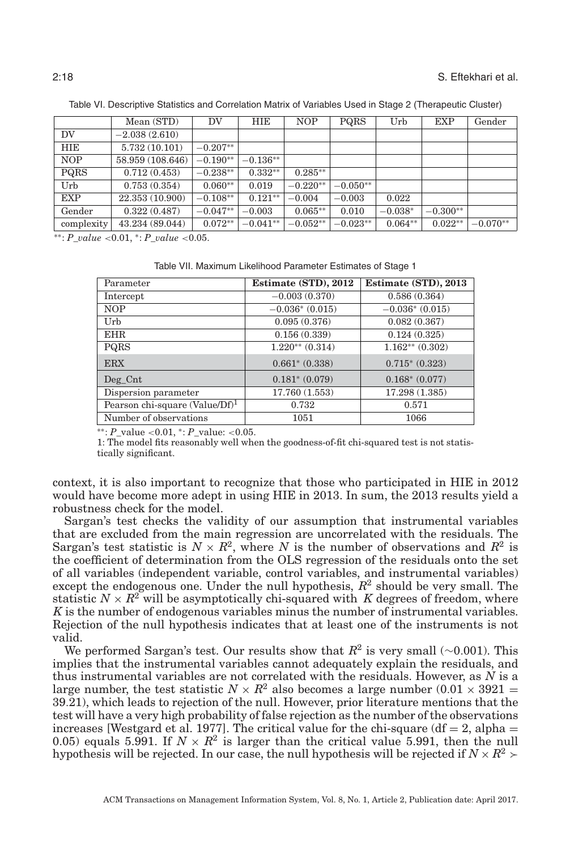<span id="page-17-0"></span>

|            | Mean (STD)       | DV         | HIE        | <b>NOP</b> | PQRS       | Urb       | <b>EXP</b> | Gender     |
|------------|------------------|------------|------------|------------|------------|-----------|------------|------------|
| DV         | $-2.038(2.610)$  |            |            |            |            |           |            |            |
| <b>HIE</b> | 5.732(10.101)    | $-0.207**$ |            |            |            |           |            |            |
| <b>NOP</b> | 58.959 (108.646) | $-0.190**$ | $-0.136**$ |            |            |           |            |            |
| PQRS       | 0.712(0.453)     | $-0.238**$ | $0.332**$  | $0.285**$  |            |           |            |            |
| Urb        | 0.753(0.354)     | $0.060**$  | 0.019      | $-0.220**$ | $-0.050**$ |           |            |            |
| <b>EXP</b> | 22.353 (10.900)  | $-0.108**$ | $0.121**$  | $-0.004$   | $-0.003$   | 0.022     |            |            |
| Gender     | 0.322(0.487)     | $-0.047**$ | $-0.003$   | $0.065**$  | 0.010      | $-0.038*$ | $-0.300**$ |            |
| complexity | 43.234 (89.044)  | $0.072**$  | $-0.041**$ | $-0.052**$ | $-0.023**$ | $0.064**$ | $0.022**$  | $-0.070**$ |

Table VI. Descriptive Statistics and Correlation Matrix of Variables Used in Stage 2 (Therapeutic Cluster)

<span id="page-17-1"></span>∗∗: *P\_value* <0.01, ∗: *P\_value* <0.05.

Table VII. Maximum Likelihood Parameter Estimates of Stage 1

| Parameter                                  | Estimate (STD), 2012 | Estimate (STD), 2013 |
|--------------------------------------------|----------------------|----------------------|
| Intercept                                  | $-0.003(0.370)$      | 0.586(0.364)         |
| <b>NOP</b>                                 | $-0.036*(0.015)$     | $-0.036*(0.015)$     |
| Urb                                        | 0.095(0.376)         | 0.082(0.367)         |
| <b>EHR</b>                                 | 0.156(0.339)         | 0.124(0.325)         |
| PQRS                                       | $1.220**$ $(0.314)$  | $1.162**$ $(0.302)$  |
| <b>ERX</b>                                 | $0.661* (0.338)$     | $0.715*(0.323)$      |
| $Deg_Cnt$                                  | $0.181* (0.079)$     | $0.168*(0.077)$      |
| Dispersion parameter                       | 17.760 (1.553)       | 17.298 (1.385)       |
| Pearson chi-square (Value/Df) <sup>1</sup> | 0.732                | 0.571                |
| Number of observations                     | 1051                 | 1066                 |

∗∗: *P*\_value <0.01, ∗: *P*\_value: <0.05.

1: The model fits reasonably well when the goodness-of-fit chi-squared test is not statistically significant.

context, it is also important to recognize that those who participated in HIE in 2012 would have become more adept in using HIE in 2013. In sum, the 2013 results yield a robustness check for the model.

Sargan's test checks the validity of our assumption that instrumental variables that are excluded from the main regression are uncorrelated with the residuals. The Sargan's test statistic is  $N \times R^2$ , where *N* is the number of observations and  $R^2$  is the coefficient of determination from the OLS regression of the residuals onto the set of all variables (independent variable, control variables, and instrumental variables) except the endogenous one. Under the null hypothesis,  $R^2$  should be very small. The statistic  $N \times R^2$  will be asymptotically chi-squared with *K* degrees of freedom, where *K* is the number of endogenous variables minus the number of instrumental variables. Rejection of the null hypothesis indicates that at least one of the instruments is not valid.

We performed Sargan's test. Our results show that *<sup>R</sup>*<sup>2</sup> is very small (∼0.001). This implies that the instrumental variables cannot adequately explain the residuals, and thus instrumental variables are not correlated with the residuals. However, as *N* is a large number, the test statistic  $N \times R^2$  also becomes a large number  $(0.01 \times 3921 =$ 39.21), which leads to rejection of the null. However, prior literature mentions that the test will have a very high probability of false rejection as the number of the observations increases [\[Westgard et al. 1977\]](#page-25-16). The critical value for the chi-square  $(df = 2, alpha = 1)$ 0.05) equals 5.991. If  $N \times R^2$  is larger than the critical value 5.991, then the null hypothesis will be rejected. In our case, the null hypothesis will be rejected if  $N \times R^2$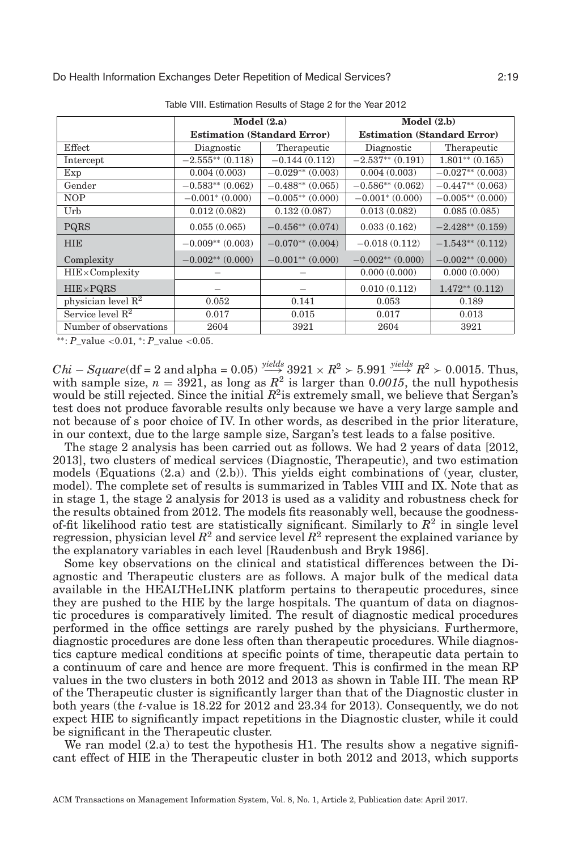|                              |                    | Model $(2.a)$                      | Model(2.b)                         |                     |  |  |
|------------------------------|--------------------|------------------------------------|------------------------------------|---------------------|--|--|
|                              |                    | <b>Estimation (Standard Error)</b> | <b>Estimation (Standard Error)</b> |                     |  |  |
| Effect                       | Diagnostic         | Therapeutic                        | Diagnostic                         | Therapeutic         |  |  |
| Intercept                    | $-2.555**$ (0.118) | $-0.144(0.112)$                    | $-2.537**$ (0.191)                 | $1.801**$ $(0.165)$ |  |  |
| Exp                          | 0.004(0.003)       | $-0.029**$ (0.003)                 | 0.004(0.003)                       | $-0.027**$ (0.003)  |  |  |
| Gender                       | $-0.583**$ (0.062) | $-0.488**$ (0.065)                 | $-0.586**$ (0.062)                 | $-0.447**$ (0.063)  |  |  |
| <b>NOP</b>                   | $-0.001*(0.000)$   | $-0.005**$ (0.000)                 | $-0.001*(0.000)$                   | $-0.005**$ (0.000)  |  |  |
| Urb                          | 0.012(0.082)       | 0.132(0.087)                       | 0.013(0.082)                       | 0.085(0.085)        |  |  |
| PQRS                         | 0.055(0.065)       | $-0.456**$ (0.074)                 | 0.033(0.162)                       | $-2.428**$ (0.159)  |  |  |
| <b>HIE</b>                   | $-0.009**$ (0.003) | $-0.070**$ (0.004)                 | $-0.018(0.112)$                    | $-1.543**$ (0.112)  |  |  |
| Complexity                   | $-0.002**$ (0.000) | $-0.001**$ (0.000)                 | $-0.002**$ (0.000)                 | $-0.002**$ (0.000)  |  |  |
| $HIE \times Complexity$      |                    |                                    | 0.000(0.000)                       | 0.000(0.000)        |  |  |
| $HIE \times PQRS$            |                    |                                    | 0.010(0.112)                       | $1.472**$ $(0.112)$ |  |  |
| physician level $R^2$        | 0.052              | 0.141                              | 0.053                              | 0.189               |  |  |
| Service level $\mathbb{R}^2$ | 0.017              | 0.015                              | 0.017                              | 0.013               |  |  |
| Number of observations       | 2604               | 3921                               | 2604                               | 3921                |  |  |

Table VIII. Estimation Results of Stage 2 for the Year 2012

∗∗: *P*\_value <0.01, ∗: *P*\_value <0.05.

*Chi* – *Square*(df = 2 and alpha = 0.05)  $\frac{yields}{r}$  3921 ×  $R^2 > 5.991$   $\frac{yields}{r}$   $R^2 > 0.0015$ . Thus, with sample size,  $n = 3921$ , as long as  $R^2$  is larger than 0.0015, the null hypothesis would be still rejected. Since the initial  $R^2$  is extremely small, we believe that Sergan's test does not produce favorable results only because we have a very large sample and not because of s poor choice of IV. In other words, as described in the prior literature, in our context, due to the large sample size, Sargan's test leads to a false positive.

The stage 2 analysis has been carried out as follows. We had 2 years of data [2012, 2013], two clusters of medical services (Diagnostic, Therapeutic), and two estimation models (Equations  $(2.a)$  and  $(2.b)$ ). This yields eight combinations of (year, cluster, model). The complete set of results is summarized in Tables VIII and IX. Note that as in stage 1, the stage 2 analysis for 2013 is used as a validity and robustness check for the results obtained from 2012. The models fits reasonably well, because the goodnessof-fit likelihood ratio test are statistically significant. Similarly to  $R<sup>2</sup>$  in single level regression, physician level  $R^2$  and service level  $R^2$  represent the explained variance by the explanatory variables in each level [\[Raudenbush and Bryk 1986\]](#page-25-17).

Some key observations on the clinical and statistical differences between the Diagnostic and Therapeutic clusters are as follows. A major bulk of the medical data available in the HEALTHeLINK platform pertains to therapeutic procedures, since they are pushed to the HIE by the large hospitals. The quantum of data on diagnostic procedures is comparatively limited. The result of diagnostic medical procedures performed in the office settings are rarely pushed by the physicians. Furthermore, diagnostic procedures are done less often than therapeutic procedures. While diagnostics capture medical conditions at specific points of time, therapeutic data pertain to a continuum of care and hence are more frequent. This is confirmed in the mean RP values in the two clusters in both 2012 and 2013 as shown in Table [III.](#page-16-0) The mean RP of the Therapeutic cluster is significantly larger than that of the Diagnostic cluster in both years (the *t*-value is 18.22 for 2012 and 23.34 for 2013). Consequently, we do not expect HIE to significantly impact repetitions in the Diagnostic cluster, while it could be significant in the Therapeutic cluster.

We ran model  $(2,a)$  to test the hypothesis H1. The results show a negative significant effect of HIE in the Therapeutic cluster in both 2012 and 2013, which supports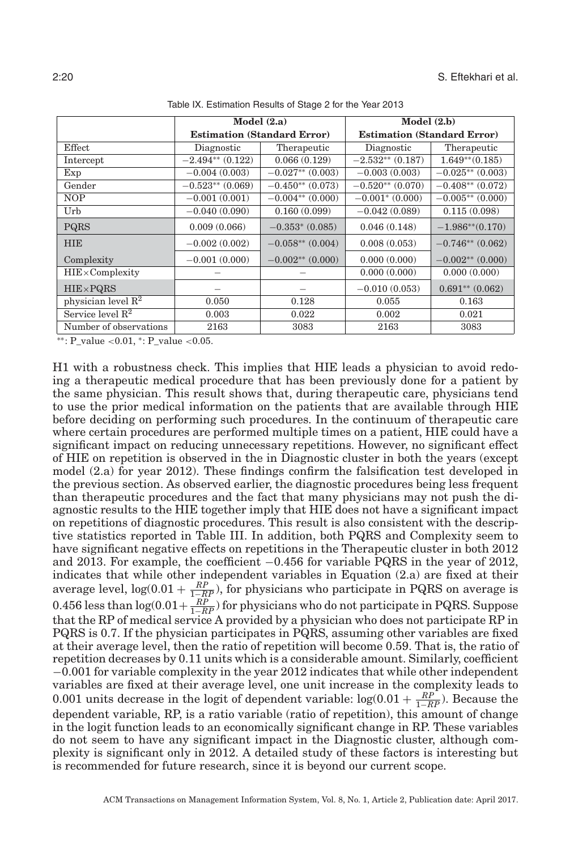|                                | Model $(2.a)$      |                                    | Model(2.b)                         |                     |  |  |  |
|--------------------------------|--------------------|------------------------------------|------------------------------------|---------------------|--|--|--|
|                                |                    | <b>Estimation (Standard Error)</b> | <b>Estimation (Standard Error)</b> |                     |  |  |  |
| Effect                         | Diagnostic         | Therapeutic                        | Diagnostic                         | Therapeutic         |  |  |  |
| Intercept                      | $-2.494**$ (0.122) | 0.066(0.129)                       | $-2.532**$ (0.187)                 | $1.649**$ (0.185)   |  |  |  |
| Exp                            | $-0.004(0.003)$    | $-0.027**$ (0.003)                 | $-0.003(0.003)$                    | $-0.025**$ (0.003)  |  |  |  |
| Gender                         | $-0.523**$ (0.069) | $-0.450**$ (0.073)                 | $-0.520**$ (0.070)                 | $-0.408**$ (0.072)  |  |  |  |
| <b>NOP</b>                     | $-0.001(0.001)$    | $-0.004**$ (0.000)                 | $-0.001*(0.000)$                   | $-0.005**$ (0.000)  |  |  |  |
| Urb                            | $-0.040(0.090)$    | 0.160(0.099)                       | $-0.042(0.089)$                    | 0.115(0.098)        |  |  |  |
| PQRS                           | 0.009(0.066)       | $-0.353$ * (0.085)                 | 0.046(0.148)                       | $-1.986** (0.170)$  |  |  |  |
| <b>HIE</b>                     | $-0.002(0.002)$    | $-0.058**$ (0.004)                 | 0.008(0.053)                       | $-0.746**$ (0.062)  |  |  |  |
| Complexity                     | $-0.001(0.000)$    | $-0.002**$ (0.000)                 | 0.000(0.000)                       | $-0.002**$ (0.000)  |  |  |  |
| $HIE \times Complexity$        |                    |                                    | 0.000(0.000)                       | 0.000(0.000)        |  |  |  |
| $HIE \times PQRS$              |                    |                                    | $-0.010(0.053)$                    | $0.691**$ $(0.062)$ |  |  |  |
| physician level $\mathbb{R}^2$ | 0.050              | 0.128                              | 0.055                              | 0.163               |  |  |  |
| Service level $\mathbb{R}^2$   | 0.003              | 0.022                              | 0.002                              | 0.021               |  |  |  |
| Number of observations         | 2163               | 3083                               | 2163                               | 3083                |  |  |  |

Table IX. Estimation Results of Stage 2 for the Year 2013

∗∗: P\_value <0.01, ∗: P\_value <0.05.

H1 with a robustness check. This implies that HIE leads a physician to avoid redoing a therapeutic medical procedure that has been previously done for a patient by the same physician. This result shows that, during therapeutic care, physicians tend to use the prior medical information on the patients that are available through HIE before deciding on performing such procedures. In the continuum of therapeutic care where certain procedures are performed multiple times on a patient, HIE could have a significant impact on reducing unnecessary repetitions. However, no significant effect of HIE on repetition is observed in the in Diagnostic cluster in both the years (except model (2.a) for year 2012). These findings confirm the falsification test developed in the previous section. As observed earlier, the diagnostic procedures being less frequent than therapeutic procedures and the fact that many physicians may not push the diagnostic results to the HIE together imply that HIE does not have a significant impact on repetitions of diagnostic procedures. This result is also consistent with the descriptive statistics reported in Table [III.](#page-16-0) In addition, both PQRS and Complexity seem to have significant negative effects on repetitions in the Therapeutic cluster in both 2012 and 2013. For example, the coefficient −0.456 for variable PQRS in the year of 2012, indicates that while other independent variables in Equation (2.a) are fixed at their average level,  $log(0.01 + \frac{RP}{1-RP})$ , for physicians who participate in PQRS on average is 0.456 less than  $\log(0.01 + \frac{RP}{1-RP})$  for physicians who do not participate in PQRS. Suppose that the RP of medical service A provided by a physician who does not participate RP in PQRS is 0.7. If the physician participates in PQRS, assuming other variables are fixed at their average level, then the ratio of repetition will become 0.59. That is, the ratio of repetition decreases by 0.11 units which is a considerable amount. Similarly, coefficient −0.001 for variable complexity in the year 2012 indicates that while other independent variables are fixed at their average level, one unit increase in the complexity leads to 0.001 units decrease in the logit of dependent variable:  $log(0.01 + \frac{RP}{1-RP})$ . Because the dependent variable, RP, is a ratio variable (ratio of repetition), this amount of change in the logit function leads to an economically significant change in RP. These variables do not seem to have any significant impact in the Diagnostic cluster, although complexity is significant only in 2012. A detailed study of these factors is interesting but is recommended for future research, since it is beyond our current scope.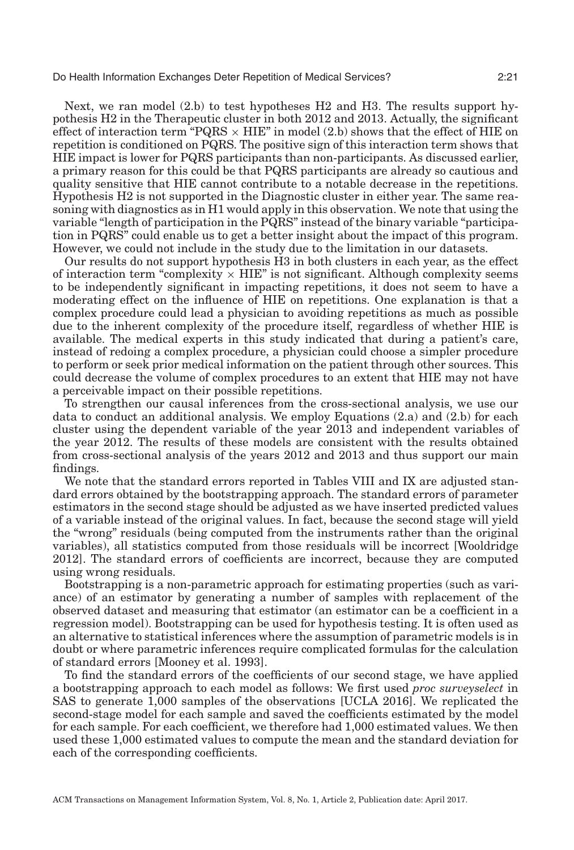Next, we ran model (2.b) to test hypotheses H2 and H3. The results support hypothesis H2 in the Therapeutic cluster in both 2012 and 2013. Actually, the significant effect of interaction term "PQRS  $\times$  HIE" in model (2.b) shows that the effect of HIE on repetition is conditioned on PQRS. The positive sign of this interaction term shows that HIE impact is lower for PQRS participants than non-participants. As discussed earlier, a primary reason for this could be that PQRS participants are already so cautious and quality sensitive that HIE cannot contribute to a notable decrease in the repetitions. Hypothesis H2 is not supported in the Diagnostic cluster in either year. The same reasoning with diagnostics as in H1 would apply in this observation. We note that using the variable "length of participation in the PQRS" instead of the binary variable "participation in PQRS" could enable us to get a better insight about the impact of this program. However, we could not include in the study due to the limitation in our datasets.

Our results do not support hypothesis H3 in both clusters in each year, as the effect of interaction term "complexity  $\times$  HIE" is not significant. Although complexity seems to be independently significant in impacting repetitions, it does not seem to have a moderating effect on the influence of HIE on repetitions. One explanation is that a complex procedure could lead a physician to avoiding repetitions as much as possible due to the inherent complexity of the procedure itself, regardless of whether HIE is available. The medical experts in this study indicated that during a patient's care, instead of redoing a complex procedure, a physician could choose a simpler procedure to perform or seek prior medical information on the patient through other sources. This could decrease the volume of complex procedures to an extent that HIE may not have a perceivable impact on their possible repetitions.

To strengthen our causal inferences from the cross-sectional analysis, we use our data to conduct an additional analysis. We employ Equations (2.a) and (2.b) for each cluster using the dependent variable of the year 2013 and independent variables of the year 2012. The results of these models are consistent with the results obtained from cross-sectional analysis of the years 2012 and 2013 and thus support our main findings.

We note that the standard errors reported in Tables VIII and IX are adjusted standard errors obtained by the bootstrapping approach. The standard errors of parameter estimators in the second stage should be adjusted as we have inserted predicted values of a variable instead of the original values. In fact, because the second stage will yield the "wrong" residuals (being computed from the instruments rather than the original variables), all statistics computed from those residuals will be incorrect [\[Wooldridge](#page-26-1) [2012\]](#page-26-1). The standard errors of coefficients are incorrect, because they are computed using wrong residuals.

Bootstrapping is a non-parametric approach for estimating properties (such as variance) of an estimator by generating a number of samples with replacement of the observed dataset and measuring that estimator (an estimator can be a coefficient in a regression model). Bootstrapping can be used for hypothesis testing. It is often used as an alternative to statistical inferences where the assumption of parametric models is in doubt or where parametric inferences require complicated formulas for the calculation of standard errors [\[Mooney et al. 1993\]](#page-24-21).

To find the standard errors of the coefficients of our second stage, we have applied a bootstrapping approach to each model as follows: We first used *proc surveyselect* in SAS to generate 1,000 samples of the observations [UCLA 2016]. We replicated the second-stage model for each sample and saved the coefficients estimated by the model for each sample. For each coefficient, we therefore had 1,000 estimated values. We then used these 1,000 estimated values to compute the mean and the standard deviation for each of the corresponding coefficients.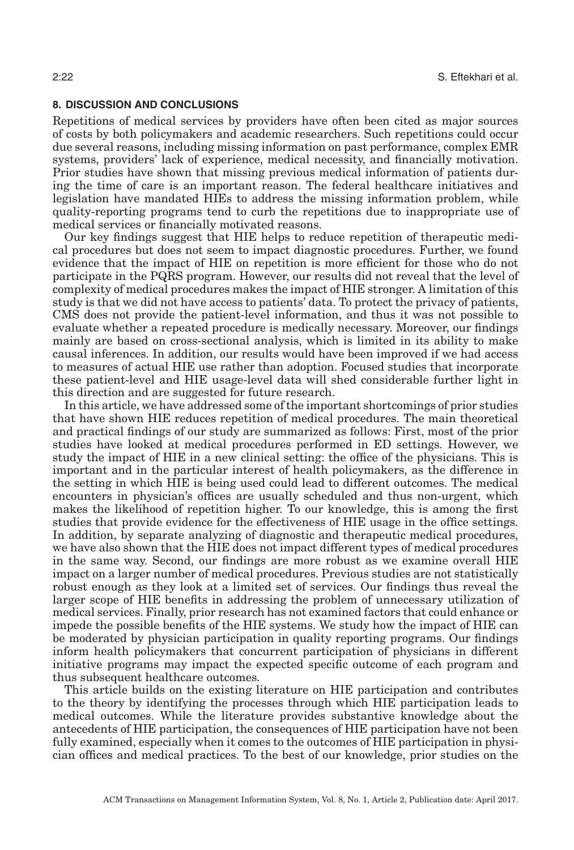### **8. DISCUSSION AND CONCLUSIONS**

Repetitions of medical services by providers have often been cited as major sources of costs by both policymakers and academic researchers. Such repetitions could occur due several reasons, including missing information on past performance, complex EMR systems, providers' lack of experience, medical necessity, and financially motivation. Prior studies have shown that missing previous medical information of patients during the time of care is an important reason. The federal healthcare initiatives and legislation have mandated HIEs to address the missing information problem, while quality-reporting programs tend to curb the repetitions due to inappropriate use of medical services or financially motivated reasons.

Our key findings suggest that HIE helps to reduce repetition of therapeutic medical procedures but does not seem to impact diagnostic procedures. Further, we found evidence that the impact of HIE on repetition is more efficient for those who do not participate in the PQRS program. However, our results did not reveal that the level of complexity of medical procedures makes the impact of HIE stronger. A limitation of this study is that we did not have access to patients' data. To protect the privacy of patients, CMS does not provide the patient-level information, and thus it was not possible to evaluate whether a repeated procedure is medically necessary. Moreover, our findings mainly are based on cross-sectional analysis, which is limited in its ability to make causal inferences. In addition, our results would have been improved if we had access to measures of actual HIE use rather than adoption. Focused studies that incorporate these patient-level and HIE usage-level data will shed considerable further light in this direction and are suggested for future research.

In this article, we have addressed some of the important shortcomings of prior studies that have shown HIE reduces repetition of medical procedures. The main theoretical and practical findings of our study are summarized as follows: First, most of the prior studies have looked at medical procedures performed in ED settings. However, we study the impact of HIE in a new clinical setting: the office of the physicians. This is important and in the particular interest of health policymakers, as the difference in the setting in which HIE is being used could lead to different outcomes. The medical encounters in physician's offices are usually scheduled and thus non-urgent, which makes the likelihood of repetition higher. To our knowledge, this is among the first studies that provide evidence for the effectiveness of HIE usage in the office settings. In addition, by separate analyzing of diagnostic and therapeutic medical procedures, we have also shown that the HIE does not impact different types of medical procedures in the same way. Second, our findings are more robust as we examine overall HIE impact on a larger number of medical procedures. Previous studies are not statistically robust enough as they look at a limited set of services. Our findings thus reveal the larger scope of HIE benefits in addressing the problem of unnecessary utilization of medical services. Finally, prior research has not examined factors that could enhance or impede the possible benefits of the HIE systems. We study how the impact of HIE can be moderated by physician participation in quality reporting programs. Our findings inform health policymakers that concurrent participation of physicians in different initiative programs may impact the expected specific outcome of each program and thus subsequent healthcare outcomes.

This article builds on the existing literature on HIE participation and contributes to the theory by identifying the processes through which HIE participation leads to medical outcomes. While the literature provides substantive knowledge about the antecedents of HIE participation, the consequences of HIE participation have not been fully examined, especially when it comes to the outcomes of HIE participation in physician offices and medical practices. To the best of our knowledge, prior studies on the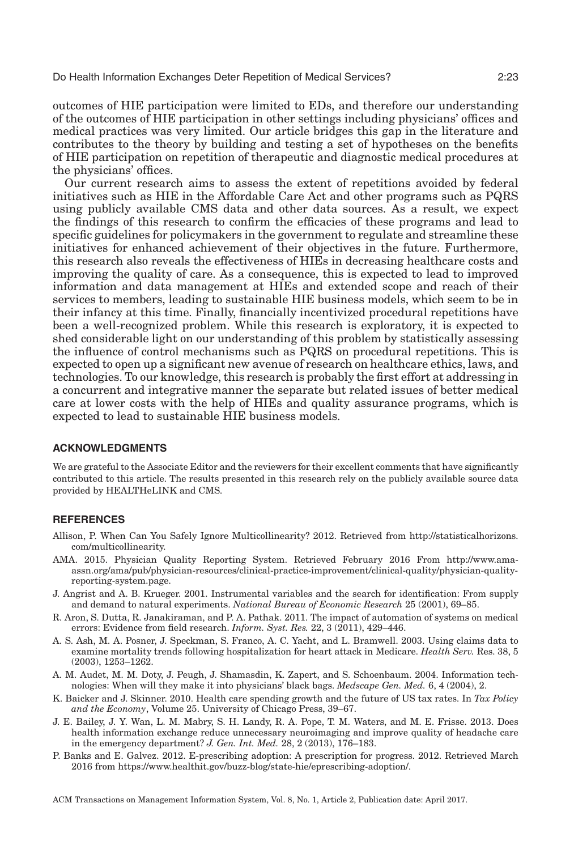Do Health Information Exchanges Deter Repetition of Medical Services? 2:23

outcomes of HIE participation were limited to EDs, and therefore our understanding of the outcomes of HIE participation in other settings including physicians' offices and medical practices was very limited. Our article bridges this gap in the literature and contributes to the theory by building and testing a set of hypotheses on the benefits of HIE participation on repetition of therapeutic and diagnostic medical procedures at the physicians' offices.

Our current research aims to assess the extent of repetitions avoided by federal initiatives such as HIE in the Affordable Care Act and other programs such as PQRS using publicly available CMS data and other data sources. As a result, we expect the findings of this research to confirm the efficacies of these programs and lead to specific guidelines for policymakers in the government to regulate and streamline these initiatives for enhanced achievement of their objectives in the future. Furthermore, this research also reveals the effectiveness of HIEs in decreasing healthcare costs and improving the quality of care. As a consequence, this is expected to lead to improved information and data management at HIEs and extended scope and reach of their services to members, leading to sustainable HIE business models, which seem to be in their infancy at this time. Finally, financially incentivized procedural repetitions have been a well-recognized problem. While this research is exploratory, it is expected to shed considerable light on our understanding of this problem by statistically assessing the influence of control mechanisms such as PQRS on procedural repetitions. This is expected to open up a significant new avenue of research on healthcare ethics, laws, and technologies. To our knowledge, this research is probably the first effort at addressing in a concurrent and integrative manner the separate but related issues of better medical care at lower costs with the help of HIEs and quality assurance programs, which is expected to lead to sustainable HIE business models.

# **ACKNOWLEDGMENTS**

We are grateful to the Associate Editor and the reviewers for their excellent comments that have significantly contributed to this article. The results presented in this research rely on the publicly available source data provided by HEALTHeLINK and CMS.

### **REFERENCES**

- Allison, P. When Can You Safely Ignore Multicollinearity? 2012. Retrieved from http://statisticalhorizons. com/multicollinearity.
- <span id="page-22-2"></span>AMA. 2015. Physician Quality Reporting System. Retrieved February 2016 From http://www.amaassn.org/ama/pub/physician-resources/clinical-practice-improvement/clinical-quality/physician-qualityreporting-system.page.
- <span id="page-22-4"></span>J. Angrist and A. B. Krueger. 2001. Instrumental variables and the search for identification: From supply and demand to natural experiments. *National Bureau of Economic Research* 25 (2001), 69–85.
- <span id="page-22-1"></span>R. Aron, S. Dutta, R. Janakiraman, and P. A. Pathak. 2011. The impact of automation of systems on medical errors: Evidence from field research. *Inform. Syst. Res.* 22, 3 (2011), 429–446.
- <span id="page-22-3"></span>A. S. Ash, M. A. Posner, J. Speckman, S. Franco, A. C. Yacht, and L. Bramwell. 2003. Using claims data to examine mortality trends following hospitalization for heart attack in Medicare. *Health Serv.* Res. 38, 5 (2003), 1253–1262.
- A. M. Audet, M. M. Doty, J. Peugh, J. Shamasdin, K. Zapert, and S. Schoenbaum. 2004. Information technologies: When will they make it into physicians' black bags. *Medscape Gen. Med.* 6, 4 (2004), 2.
- <span id="page-22-0"></span>K. Baicker and J. Skinner. 2010. Health care spending growth and the future of US tax rates. In *Tax Policy and the Economy*, Volume 25. University of Chicago Press, 39–67.
- J. E. Bailey, J. Y. Wan, L. M. Mabry, S. H. Landy, R. A. Pope, T. M. Waters, and M. E. Frisse. 2013. Does health information exchange reduce unnecessary neuroimaging and improve quality of headache care in the emergency department? *J. Gen. Int. Med.* 28, 2 (2013), 176–183.
- <span id="page-22-5"></span>P. Banks and E. Galvez. 2012. E-prescribing adoption: A prescription for progress. 2012. Retrieved March 2016 from https://www.healthit.gov/buzz-blog/state-hie/eprescribing-adoption/.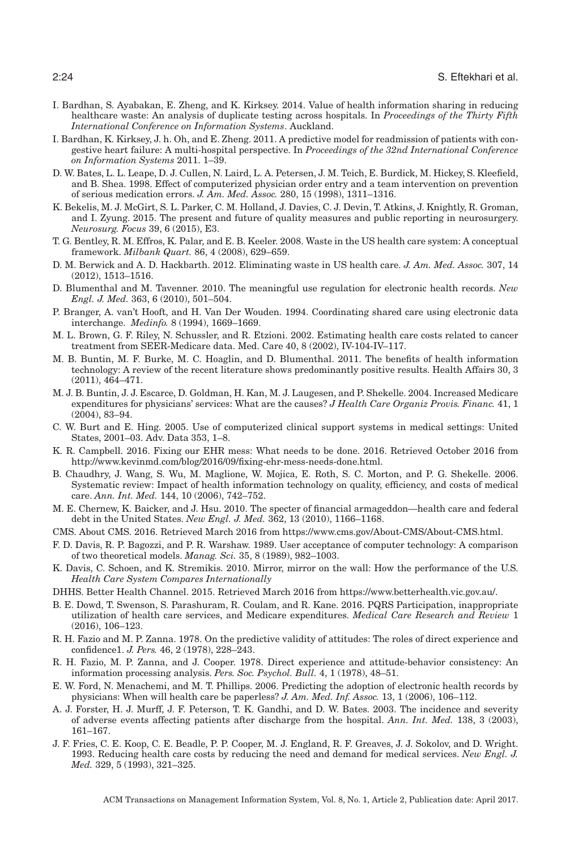- <span id="page-23-3"></span>I. Bardhan, S. Ayabakan, E. Zheng, and K. Kirksey. 2014. Value of health information sharing in reducing healthcare waste: An analysis of duplicate testing across hospitals. In *Proceedings of the Thirty Fifth International Conference on Information Systems*. Auckland.
- <span id="page-23-9"></span>I. Bardhan, K. Kirksey, J. h. Oh, and E. Zheng. 2011. A predictive model for readmission of patients with congestive heart failure: A multi-hospital perspective. In *Proceedings of the 32nd International Conference on Information Systems* 2011. 1–39.
- <span id="page-23-11"></span>D. W. Bates, L. L. Leape, D. J. Cullen, N. Laird, L. A. Petersen, J. M. Teich, E. Burdick, M. Hickey, S. Kleefield, and B. Shea. 1998. Effect of computerized physician order entry and a team intervention on prevention of serious medication errors. *J. Am. Med. Assoc.* 280, 15 (1998), 1311–1316.
- <span id="page-23-16"></span>K. Bekelis, M. J. McGirt, S. L. Parker, C. M. Holland, J. Davies, C. J. Devin, T. Atkins, J. Knightly, R. Groman, and I. Zyung. 2015. The present and future of quality measures and public reporting in neurosurgery. *Neurosurg. Focus* 39, 6 (2015), E3.
- <span id="page-23-4"></span>T. G. Bentley, R. M. Effros, K. Palar, and E. B. Keeler. 2008. Waste in the US health care system: A conceptual framework. *Milbank Quart.* 86, 4 (2008), 629–659.
- <span id="page-23-2"></span>D. M. Berwick and A. D. Hackbarth. 2012. Eliminating waste in US health care. *J. Am. Med. Assoc.* 307, 14 (2012), 1513–1516.
- <span id="page-23-6"></span>D. Blumenthal and M. Tavenner. 2010. The meaningful use regulation for electronic health records. *New Engl. J. Med.* 363, 6 (2010), 501–504.
- <span id="page-23-10"></span>P. Branger, A. van't Hooft, and H. Van Der Wouden. 1994. Coordinating shared care using electronic data interchange. *Medinfo.* 8 (1994), 1669–1669.
- M. L. Brown, G. F. Riley, N. Schussler, and R. Etzioni. 2002. Estimating health care costs related to cancer treatment from SEER-Medicare data. Med. Care 40, 8 (2002), IV-104-IV–117.
- <span id="page-23-5"></span>M. B. Buntin, M. F. Burke, M. C. Hoaglin, and D. Blumenthal. 2011. The benefits of health information technology: A review of the recent literature shows predominantly positive results. Health Affairs 30, 3 (2011), 464–471.
- <span id="page-23-17"></span>M. J. B. Buntin, J. J. Escarce, D. Goldman, H. Kan, M. J. Laugesen, and P. Shekelle. 2004. Increased Medicare expenditures for physicians' services: What are the causes? *J Health Care Organiz Provis. Financ.* 41, 1 (2004), 83–94.
- C. W. Burt and E. Hing. 2005. Use of computerized clinical support systems in medical settings: United States, 2001–03. Adv. Data 353, 1–8.
- <span id="page-23-18"></span>K. R. Campbell. 2016. Fixing our EHR mess: What needs to be done. 2016. Retrieved October 2016 from http://www.kevinmd.com/blog/2016/09/fixing-ehr-mess-needs-done.html.
- <span id="page-23-12"></span>B. Chaudhry, J. Wang, S. Wu, M. Maglione, W. Mojica, E. Roth, S. C. Morton, and P. G. Shekelle. 2006. Systematic review: Impact of health information technology on quality, efficiency, and costs of medical care. *Ann. Int. Med.* 144, 10 (2006), 742–752.
- <span id="page-23-0"></span>M. E. Chernew, K. Baicker, and J. Hsu. 2010. The specter of financial armageddon—health care and federal debt in the United States. *New Engl. J. Med.* 362, 13 (2010), 1166–1168.
- CMS. About CMS. 2016. Retrieved March 2016 from https://www.cms.gov/About-CMS/About-CMS.html.
- <span id="page-23-13"></span>F. D. Davis, R. P. Bagozzi, and P. R. Warshaw. 1989. User acceptance of computer technology: A comparison of two theoretical models. *Manag. Sci.* 35, 8 (1989), 982–1003.
- <span id="page-23-1"></span>K. Davis, C. Schoen, and K. Stremikis. 2010. Mirror, mirror on the wall: How the performance of the U.S. *Health Care System Compares Internationally*
- DHHS. Better Health Channel. 2015. Retrieved March 2016 from https://www.betterhealth.vic.gov.au/.
- B. E. Dowd, T. Swenson, S. Parashuram, R. Coulam, and R. Kane. 2016. PQRS Participation, inappropriate utilization of health care services, and Medicare expenditures. *Medical Care Research and Review* 1 (2016), 106–123.
- <span id="page-23-14"></span>R. H. Fazio and M. P. Zanna. 1978. On the predictive validity of attitudes: The roles of direct experience and confidence1. *J. Pers.* 46, 2 (1978), 228–243.
- <span id="page-23-15"></span>R. H. Fazio, M. P. Zanna, and J. Cooper. 1978. Direct experience and attitude-behavior consistency: An information processing analysis. *Pers. Soc. Psychol. Bull.* 4, 1 (1978), 48–51.
- E. W. Ford, N. Menachemi, and M. T. Phillips. 2006. Predicting the adoption of electronic health records by physicians: When will health care be paperless? *J. Am. Med. Inf. Assoc.* 13, 1 (2006), 106–112.
- <span id="page-23-7"></span>A. J. Forster, H. J. Murff, J. F. Peterson, T. K. Gandhi, and D. W. Bates. 2003. The incidence and severity of adverse events affecting patients after discharge from the hospital. *Ann. Int. Med.* 138, 3 (2003), 161–167.
- <span id="page-23-8"></span>J. F. Fries, C. E. Koop, C. E. Beadle, P. P. Cooper, M. J. England, R. F. Greaves, J. J. Sokolov, and D. Wright. 1993. Reducing health care costs by reducing the need and demand for medical services. *New Engl. J. Med.* 329, 5 (1993), 321–325.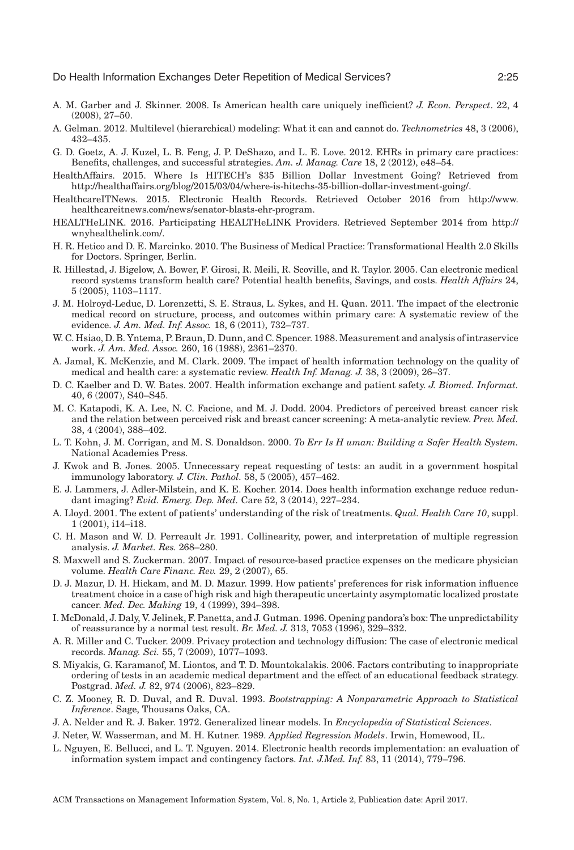#### Do Health Information Exchanges Deter Repetition of Medical Services? 2:25

- <span id="page-24-0"></span>A. M. Garber and J. Skinner. 2008. Is American health care uniquely inefficient? *J. Econ. Perspect*. 22, 4 (2008), 27–50.
- <span id="page-24-17"></span>A. Gelman. 2012. Multilevel (hierarchical) modeling: What it can and cannot do. *Technometrics* 48, 3 (2006), 432–435.
- G. D. Goetz, A. J. Kuzel, L. B. Feng, J. P. DeShazo, and L. E. Love. 2012. EHRs in primary care practices: Benefits, challenges, and successful strategies. *Am. J. Manag. Care* 18, 2 (2012), e48–54.
- <span id="page-24-15"></span>HealthAffairs. 2015. Where Is HITECH's \$35 Billion Dollar Investment Going? Retrieved from http://healthaffairs.org/blog/2015/03/04/where-is-hitechs-35-billion-dollar-investment-going/.
- <span id="page-24-16"></span>HealthcareITNews. 2015. Electronic Health Records. Retrieved October 2016 from http://www. healthcareitnews.com/news/senator-blasts-ehr-program.
- <span id="page-24-11"></span>HEALTHeLINK. 2016. Participating HEALTHeLINK Providers. Retrieved September 2014 from http:// wnyhealthelink.com/.
- <span id="page-24-13"></span>H. R. Hetico and D. E. Marcinko. 2010. The Business of Medical Practice: Transformational Health 2.0 Skills for Doctors. Springer, Berlin.
- <span id="page-24-5"></span>R. Hillestad, J. Bigelow, A. Bower, F. Girosi, R. Meili, R. Scoville, and R. Taylor. 2005. Can electronic medical record systems transform health care? Potential health benefits, Savings, and costs. *Health Affairs* 24, 5 (2005), 1103–1117.
- J. M. Holroyd-Leduc, D. Lorenzetti, S. E. Straus, L. Sykes, and H. Quan. 2011. The impact of the electronic medical record on structure, process, and outcomes within primary care: A systematic review of the evidence. *J. Am. Med. Inf. Assoc.* 18, 6 (2011), 732–737.
- <span id="page-24-14"></span>W. C. Hsiao, D. B. Yntema, P. Braun, D. Dunn, and C. Spencer. 1988. Measurement and analysis of intraservice work. *J. Am. Med. Assoc.* 260, 16 (1988), 2361–2370.
- <span id="page-24-6"></span>A. Jamal, K. McKenzie, and M. Clark. 2009. The impact of health information technology on the quality of medical and health care: a systematic review. *Health Inf. Manag. J.* 38, 3 (2009), 26–37.
- <span id="page-24-2"></span>D. C. Kaelber and D. W. Bates. 2007. Health information exchange and patient safety. *J. Biomed. Informat.* 40, 6 (2007), S40–S45.
- <span id="page-24-8"></span>M. C. Katapodi, K. A. Lee, N. C. Facione, and M. J. Dodd. 2004. Predictors of perceived breast cancer risk and the relation between perceived risk and breast cancer screening: A meta-analytic review. *Prev. Med.* 38, 4 (2004), 388–402.
- <span id="page-24-1"></span>L. T. Kohn, J. M. Corrigan, and M. S. Donaldson. 2000. *To Err Is H uman: Building a Safer Health System.* National Academies Press.
- <span id="page-24-3"></span>J. Kwok and B. Jones. 2005. Unnecessary repeat requesting of tests: an audit in a government hospital immunology laboratory. *J. Clin. Pathol.* 58, 5 (2005), 457–462.
- E. J. Lammers, J. Adler-Milstein, and K. E. Kocher. 2014. Does health information exchange reduce redundant imaging? *Evid. Emerg. Dep. Med.* Care 52, 3 (2014), 227–234.
- <span id="page-24-9"></span>A. Lloyd. 2001. The extent of patients' understanding of the risk of treatments. *Qual. Health Care 10*, suppl. 1 (2001), i14–i18.
- <span id="page-24-19"></span>C. H. Mason and W. D. Perreault Jr. 1991. Collinearity, power, and interpretation of multiple regression analysis. *J. Market. Res.* 268–280.
- <span id="page-24-12"></span>S. Maxwell and S. Zuckerman. 2007. Impact of resource-based practice expenses on the medicare physician volume. *Health Care Financ. Rev.* 29, 2 (2007), 65.
- <span id="page-24-10"></span>D. J. Mazur, D. H. Hickam, and M. D. Mazur. 1999. How patients' preferences for risk information influence treatment choice in a case of high risk and high therapeutic uncertainty asymptomatic localized prostate cancer. *Med. Dec. Making* 19, 4 (1999), 394–398.
- <span id="page-24-4"></span>I. McDonald, J. Daly, V. Jelinek, F. Panetta, and J. Gutman. 1996. Opening pandora's box: The unpredictability of reassurance by a normal test result. *Br. Med. J.* 313, 7053 (1996), 329–332.
- A. R. Miller and C. Tucker. 2009. Privacy protection and technology diffusion: The case of electronic medical records. *Manag. Sci.* 55, 7 (2009), 1077–1093.
- <span id="page-24-7"></span>S. Miyakis, G. Karamanof, M. Liontos, and T. D. Mountokalakis. 2006. Factors contributing to inappropriate ordering of tests in an academic medical department and the effect of an educational feedback strategy. Postgrad. *Med. J.* 82, 974 (2006), 823–829.
- <span id="page-24-21"></span>C. Z. Mooney, R. D. Duval, and R. Duval. 1993. *Bootstrapping: A Nonparametric Approach to Statistical Inference*. Sage, Thousans Oaks, CA.
- <span id="page-24-18"></span>J. A. Nelder and R. J. Baker. 1972. Generalized linear models. In *Encyclopedia of Statistical Sciences*.
- <span id="page-24-20"></span>J. Neter, W. Wasserman, and M. H. Kutner. 1989. *Applied Regression Models*. Irwin, Homewood, IL.
- L. Nguyen, E. Bellucci, and L. T. Nguyen. 2014. Electronic health records implementation: an evaluation of information system impact and contingency factors. *Int. J.Med. Inf.* 83, 11 (2014), 779–796.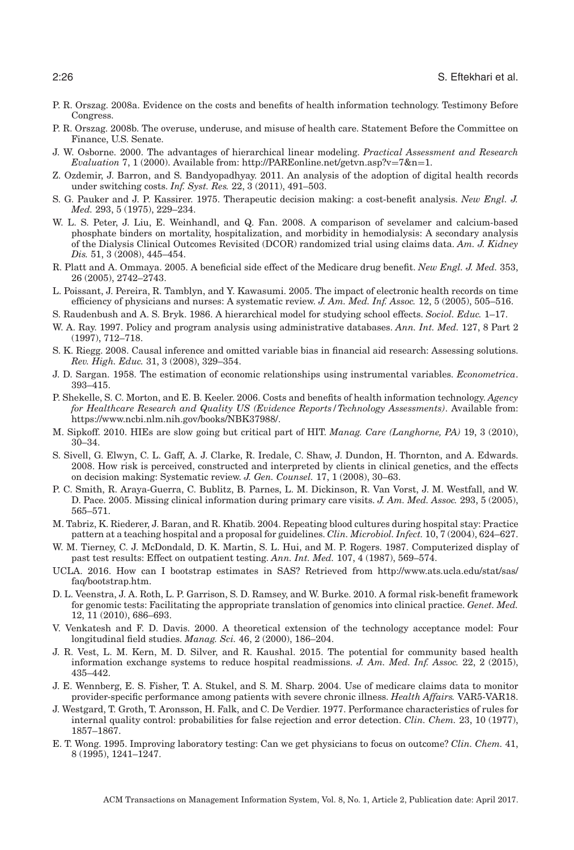- <span id="page-25-8"></span>P. R. Orszag. 2008a. Evidence on the costs and benefits of health information technology. Testimony Before Congress.
- <span id="page-25-0"></span>P. R. Orszag. 2008b. The overuse, underuse, and misuse of health care. Statement Before the Committee on Finance, U.S. Senate.
- <span id="page-25-15"></span>J. W. Osborne. 2000. The advantages of hierarchical linear modeling. *Practical Assessment and Research Evaluation* 7, 1 (2000). Available from: [http://PAREonline.net/getvn.asp?v](http://PAREonline.net/getvn.asp?v$=$7&n$=$1.)=7&n=1.
- Z. Ozdemir, J. Barron, and S. Bandyopadhyay. 2011. An analysis of the adoption of digital health records under switching costs. *Inf. Syst. Res.* 22, 3 (2011), 491–503.
- S. G. Pauker and J. P. Kassirer. 1975. Therapeutic decision making: a cost-benefit analysis. *New Engl. J. Med.* 293, 5 (1975), 229–234.
- <span id="page-25-13"></span>W. L. S. Peter, J. Liu, E. Weinhandl, and Q. Fan. 2008. A comparison of sevelamer and calcium-based phosphate binders on mortality, hospitalization, and morbidity in hemodialysis: A secondary analysis of the Dialysis Clinical Outcomes Revisited (DCOR) randomized trial using claims data. *Am. J. Kidney Dis.* 51, 3 (2008), 445–454.
- <span id="page-25-11"></span>R. Platt and A. Ommaya. 2005. A beneficial side effect of the Medicare drug benefit. *New Engl. J. Med.* 353, 26 (2005), 2742–2743.
- L. Poissant, J. Pereira, R. Tamblyn, and Y. Kawasumi. 2005. The impact of electronic health records on time efficiency of physicians and nurses: A systematic review. *J. Am. Med. Inf. Assoc.* 12, 5 (2005), 505–516.
- <span id="page-25-17"></span>S. Raudenbush and A. S. Bryk. 1986. A hierarchical model for studying school effects. *Sociol. Educ.* 1–17.
- <span id="page-25-12"></span>W. A. Ray. 1997. Policy and program analysis using administrative databases. *Ann. Int. Med.* 127, 8 Part 2 (1997), 712–718.
- <span id="page-25-14"></span>S. K. Riegg. 2008. Causal inference and omitted variable bias in financial aid research: Assessing solutions. *Rev. High. Educ.* 31, 3 (2008), 329–354.
- J. D. Sargan. 1958. The estimation of economic relationships using instrumental variables. *Econometrica*. 393–415.
- <span id="page-25-7"></span>P. Shekelle, S. C. Morton, and E. B. Keeler. 2006. Costs and benefits of health information technology. *Agency for Healthcare Research and Quality US (Evidence Reports/Technology Assessments)*. Available from: [https://www.ncbi.nlm.nih.gov/books/NBK37988/.](https://www.ncbi.nlm.nih.gov/books/NBK37988/)
- <span id="page-25-1"></span>M. Sipkoff. 2010. HIEs are slow going but critical part of HIT. *Manag. Care (Langhorne, PA)* 19, 3 (2010), 30–34.
- <span id="page-25-10"></span>S. Sivell, G. Elwyn, C. L. Gaff, A. J. Clarke, R. Iredale, C. Shaw, J. Dundon, H. Thornton, and A. Edwards. 2008. How risk is perceived, constructed and interpreted by clients in clinical genetics, and the effects on decision making: Systematic review. *J. Gen. Counsel.* 17, 1 (2008), 30–63.
- <span id="page-25-3"></span>P. C. Smith, R. Araya-Guerra, C. Bublitz, B. Parnes, L. M. Dickinson, R. Van Vorst, J. M. Westfall, and W. D. Pace. 2005. Missing clinical information during primary care visits. *J. Am. Med. Assoc.* 293, 5 (2005), 565–571.
- <span id="page-25-6"></span>M. Tabriz, K. Riederer, J. Baran, and R. Khatib. 2004. Repeating blood cultures during hospital stay: Practice pattern at a teaching hospital and a proposal for guidelines. *Clin. Microbiol. Infect.* 10, 7 (2004), 624–627.
- <span id="page-25-5"></span>W. M. Tierney, C. J. McDondald, D. K. Martin, S. L. Hui, and M. P. Rogers. 1987. Computerized display of past test results: Effect on outpatient testing. *Ann. Int. Med.* 107, 4 (1987), 569–574.
- UCLA. 2016. How can I bootstrap estimates in SAS? Retrieved from http://www.ats.ucla.edu/stat/sas/ faq/bootstrap.htm.
- D. L. Veenstra, J. A. Roth, L. P. Garrison, S. D. Ramsey, and W. Burke. 2010. A formal risk-benefit framework for genomic tests: Facilitating the appropriate translation of genomics into clinical practice. *Genet. Med.* 12, 11 (2010), 686–693.
- <span id="page-25-9"></span>V. Venkatesh and F. D. Davis. 2000. A theoretical extension of the technology acceptance model: Four longitudinal field studies. *Manag. Sci.* 46, 2 (2000), 186–204.
- <span id="page-25-2"></span>J. R. Vest, L. M. Kern, M. D. Silver, and R. Kaushal. 2015. The potential for community based health information exchange systems to reduce hospital readmissions. *J. Am. Med. Inf. Assoc.* 22, 2 (2015), 435–442.
- J. E. Wennberg, E. S. Fisher, T. A. Stukel, and S. M. Sharp. 2004. Use of medicare claims data to monitor provider-specific performance among patients with severe chronic illness. *Health Affairs.* VAR5-VAR18.
- <span id="page-25-16"></span>J. Westgard, T. Groth, T. Aronsson, H. Falk, and C. De Verdier. 1977. Performance characteristics of rules for internal quality control: probabilities for false rejection and error detection. *Clin. Chem.* 23, 10 (1977), 1857–1867.
- <span id="page-25-4"></span>E. T. Wong. 1995. Improving laboratory testing: Can we get physicians to focus on outcome? *Clin. Chem.* 41, 8 (1995), 1241–1247.